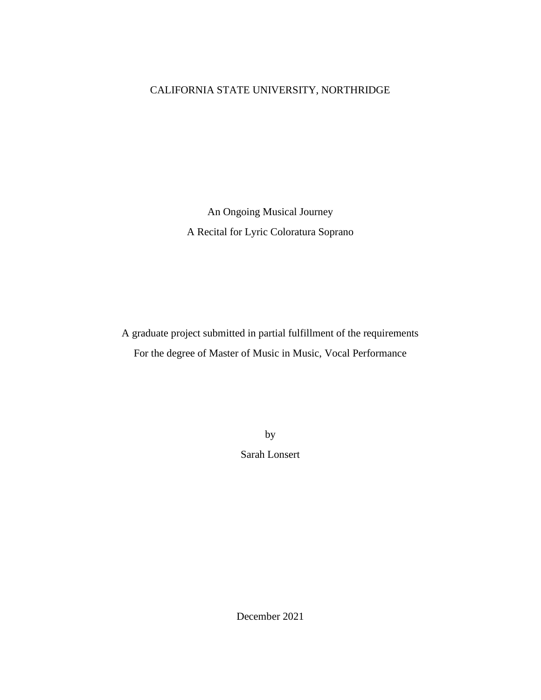# CALIFORNIA STATE UNIVERSITY, NORTHRIDGE

An Ongoing Musical Journey A Recital for Lyric Coloratura Soprano

A graduate project submitted in partial fulfillment of the requirements For the degree of Master of Music in Music, Vocal Performance

> by Sarah Lonsert

December 2021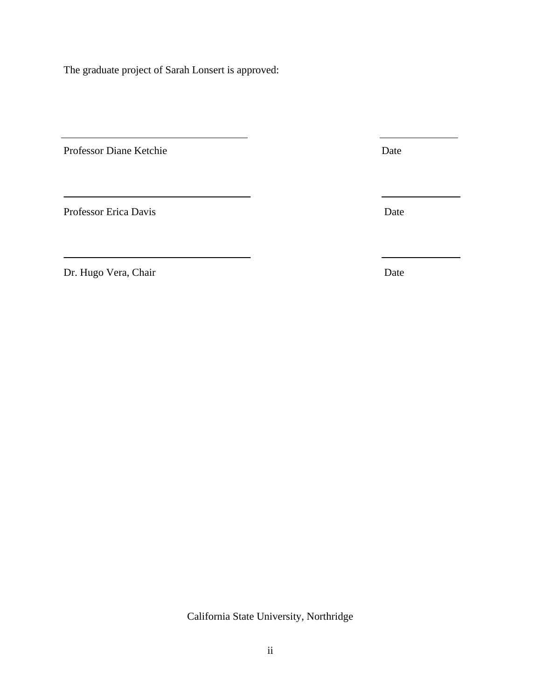The graduate project of Sarah Lonsert is approved:

Professor Diane Ketchie Date

Professor Erica Davis Date

Dr. Hugo Vera, Chair Date

California State University, Northridge

ii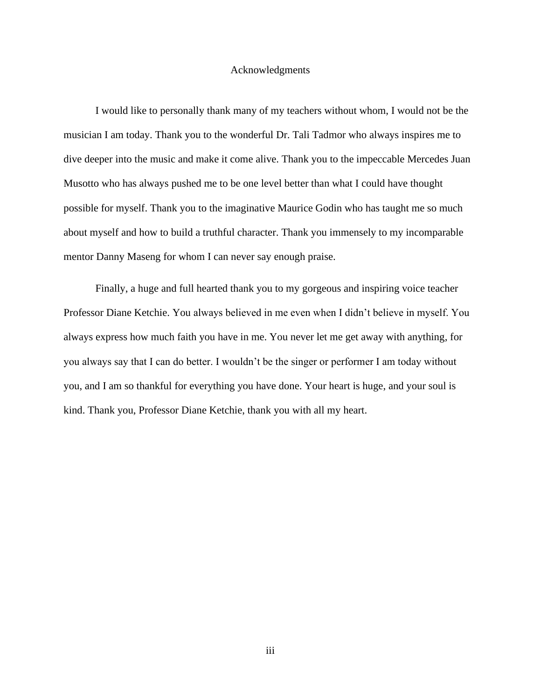# Acknowledgments

I would like to personally thank many of my teachers without whom, I would not be the musician I am today. Thank you to the wonderful Dr. Tali Tadmor who always inspires me to dive deeper into the music and make it come alive. Thank you to the impeccable Mercedes Juan Musotto who has always pushed me to be one level better than what I could have thought possible for myself. Thank you to the imaginative Maurice Godin who has taught me so much about myself and how to build a truthful character. Thank you immensely to my incomparable mentor Danny Maseng for whom I can never say enough praise.

Finally, a huge and full hearted thank you to my gorgeous and inspiring voice teacher Professor Diane Ketchie. You always believed in me even when I didn't believe in myself. You always express how much faith you have in me. You never let me get away with anything, for you always say that I can do better. I wouldn't be the singer or performer I am today without you, and I am so thankful for everything you have done. Your heart is huge, and your soul is kind. Thank you, Professor Diane Ketchie, thank you with all my heart.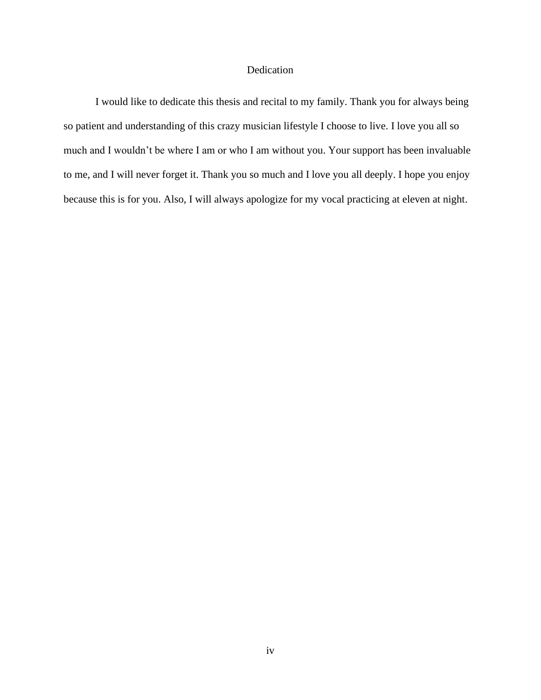# Dedication

I would like to dedicate this thesis and recital to my family. Thank you for always being so patient and understanding of this crazy musician lifestyle I choose to live. I love you all so much and I wouldn't be where I am or who I am without you. Your support has been invaluable to me, and I will never forget it. Thank you so much and I love you all deeply. I hope you enjoy because this is for you. Also, I will always apologize for my vocal practicing at eleven at night.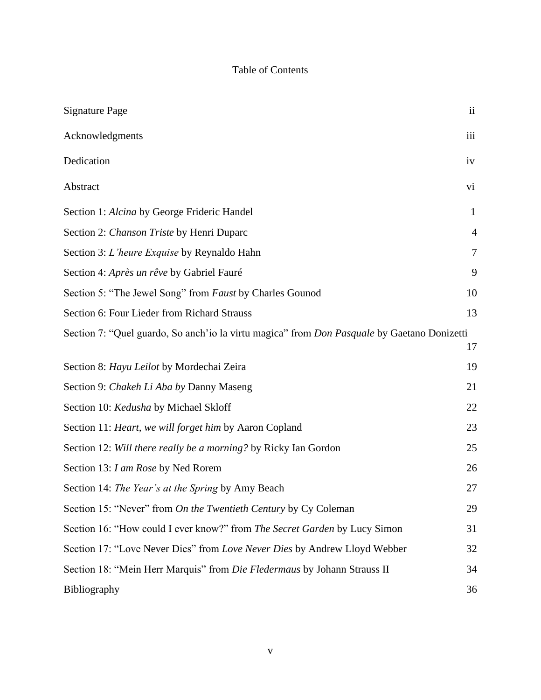# Table of Contents

| <b>Signature Page</b>                                                                              | $\mathbf{ii}$  |
|----------------------------------------------------------------------------------------------------|----------------|
| Acknowledgments                                                                                    | iii            |
| Dedication                                                                                         | iv             |
| Abstract                                                                                           | vi             |
| Section 1: Alcina by George Frideric Handel                                                        | $\mathbf{1}$   |
| Section 2: Chanson Triste by Henri Duparc                                                          | $\overline{4}$ |
| Section 3: L'heure Exquise by Reynaldo Hahn                                                        | 7              |
| Section 4: Après un rêve by Gabriel Fauré                                                          | 9              |
| Section 5: "The Jewel Song" from Faust by Charles Gounod                                           | 10             |
| Section 6: Four Lieder from Richard Strauss                                                        | 13             |
| Section 7: "Quel guardo, So anch'io la virtu magica" from <i>Don Pasquale</i> by Gaetano Donizetti | 17             |
| Section 8: Hayu Leilot by Mordechai Zeira                                                          | 19             |
| Section 9: Chakeh Li Aba by Danny Maseng                                                           | 21             |
| Section 10: Kedusha by Michael Skloff                                                              | 22             |
| Section 11: Heart, we will forget him by Aaron Copland                                             | 23             |
| Section 12: Will there really be a morning? by Ricky Ian Gordon                                    | 25             |
| Section 13: I am Rose by Ned Rorem                                                                 | 26             |
| Section 14: The Year's at the Spring by Amy Beach                                                  | 27             |
| Section 15: "Never" from On the Twentieth Century by Cy Coleman                                    | 29             |
| Section 16: "How could I ever know?" from The Secret Garden by Lucy Simon                          | 31             |
| Section 17: "Love Never Dies" from Love Never Dies by Andrew Lloyd Webber                          | 32             |
| Section 18: "Mein Herr Marquis" from Die Fledermaus by Johann Strauss II                           | 34             |
| Bibliography                                                                                       | 36             |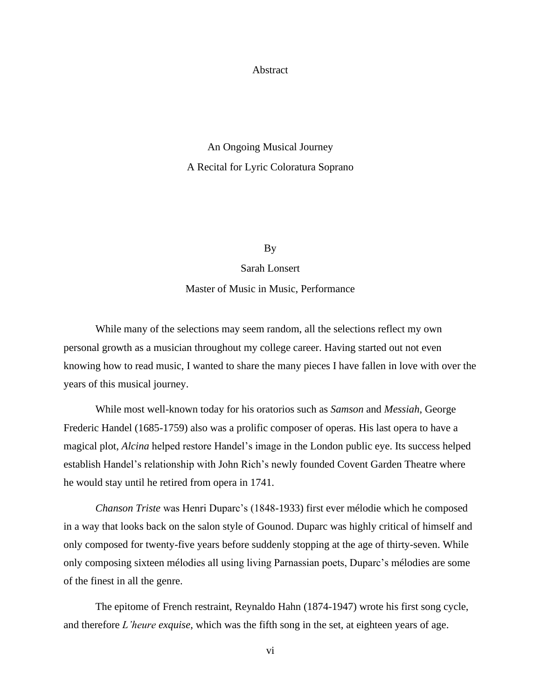# **Abstract**

# An Ongoing Musical Journey A Recital for Lyric Coloratura Soprano

# By

Sarah Lonsert

Master of Music in Music, Performance

While many of the selections may seem random, all the selections reflect my own personal growth as a musician throughout my college career. Having started out not even knowing how to read music, I wanted to share the many pieces I have fallen in love with over the years of this musical journey.

While most well-known today for his oratorios such as *Samson* and *Messiah*, George Frederic Handel (1685-1759) also was a prolific composer of operas. His last opera to have a magical plot, *Alcina* helped restore Handel's image in the London public eye. Its success helped establish Handel's relationship with John Rich's newly founded Covent Garden Theatre where he would stay until he retired from opera in 1741.

*Chanson Triste* was Henri Duparc's (1848-1933) first ever mélodie which he composed in a way that looks back on the salon style of Gounod. Duparc was highly critical of himself and only composed for twenty-five years before suddenly stopping at the age of thirty-seven. While only composing sixteen mélodies all using living Parnassian poets, Duparc's mélodies are some of the finest in all the genre.

The epitome of French restraint, Reynaldo Hahn (1874-1947) wrote his first song cycle, and therefore *L'heure exquise,* which was the fifth song in the set, at eighteen years of age.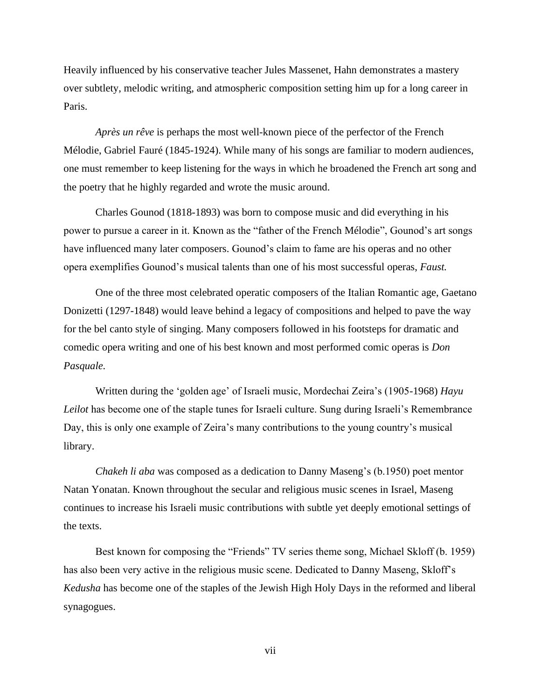Heavily influenced by his conservative teacher Jules Massenet, Hahn demonstrates a mastery over subtlety, melodic writing, and atmospheric composition setting him up for a long career in Paris.

*Après un rêve* is perhaps the most well-known piece of the perfector of the French Mélodie, Gabriel Fauré (1845-1924). While many of his songs are familiar to modern audiences, one must remember to keep listening for the ways in which he broadened the French art song and the poetry that he highly regarded and wrote the music around.

Charles Gounod (1818-1893) was born to compose music and did everything in his power to pursue a career in it. Known as the "father of the French Mélodie", Gounod's art songs have influenced many later composers. Gounod's claim to fame are his operas and no other opera exemplifies Gounod's musical talents than one of his most successful operas, *Faust.*

One of the three most celebrated operatic composers of the Italian Romantic age, Gaetano Donizetti (1297-1848) would leave behind a legacy of compositions and helped to pave the way for the bel canto style of singing. Many composers followed in his footsteps for dramatic and comedic opera writing and one of his best known and most performed comic operas is *Don Pasquale.*

Written during the 'golden age' of Israeli music, Mordechai Zeira's (1905-1968) *Hayu Leilot* has become one of the staple tunes for Israeli culture. Sung during Israeli's Remembrance Day, this is only one example of Zeira's many contributions to the young country's musical library.

*Chakeh li aba* was composed as a dedication to Danny Maseng's (b.1950) poet mentor Natan Yonatan. Known throughout the secular and religious music scenes in Israel, Maseng continues to increase his Israeli music contributions with subtle yet deeply emotional settings of the texts.

Best known for composing the "Friends" TV series theme song, Michael Skloff (b. 1959) has also been very active in the religious music scene. Dedicated to Danny Maseng, Skloff's *Kedusha* has become one of the staples of the Jewish High Holy Days in the reformed and liberal synagogues.

vii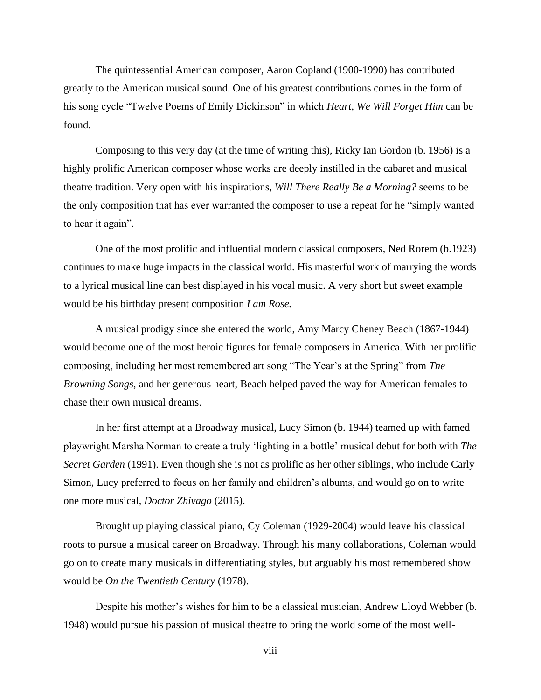The quintessential American composer, Aaron Copland (1900-1990) has contributed greatly to the American musical sound. One of his greatest contributions comes in the form of his song cycle "Twelve Poems of Emily Dickinson" in which *Heart, We Will Forget Him* can be found.

Composing to this very day (at the time of writing this), Ricky Ian Gordon (b. 1956) is a highly prolific American composer whose works are deeply instilled in the cabaret and musical theatre tradition. Very open with his inspirations, *Will There Really Be a Morning?* seems to be the only composition that has ever warranted the composer to use a repeat for he "simply wanted to hear it again".

One of the most prolific and influential modern classical composers, Ned Rorem (b.1923) continues to make huge impacts in the classical world. His masterful work of marrying the words to a lyrical musical line can best displayed in his vocal music. A very short but sweet example would be his birthday present composition *I am Rose.*

A musical prodigy since she entered the world, Amy Marcy Cheney Beach (1867-1944) would become one of the most heroic figures for female composers in America. With her prolific composing, including her most remembered art song "The Year's at the Spring" from *The Browning Songs*, and her generous heart, Beach helped paved the way for American females to chase their own musical dreams.

In her first attempt at a Broadway musical, Lucy Simon (b. 1944) teamed up with famed playwright Marsha Norman to create a truly 'lighting in a bottle' musical debut for both with *The Secret Garden* (1991). Even though she is not as prolific as her other siblings, who include Carly Simon, Lucy preferred to focus on her family and children's albums, and would go on to write one more musical, *Doctor Zhivago* (2015).

Brought up playing classical piano, Cy Coleman (1929-2004) would leave his classical roots to pursue a musical career on Broadway. Through his many collaborations, Coleman would go on to create many musicals in differentiating styles, but arguably his most remembered show would be *On the Twentieth Century* (1978).

Despite his mother's wishes for him to be a classical musician, Andrew Lloyd Webber (b. 1948) would pursue his passion of musical theatre to bring the world some of the most well-

viii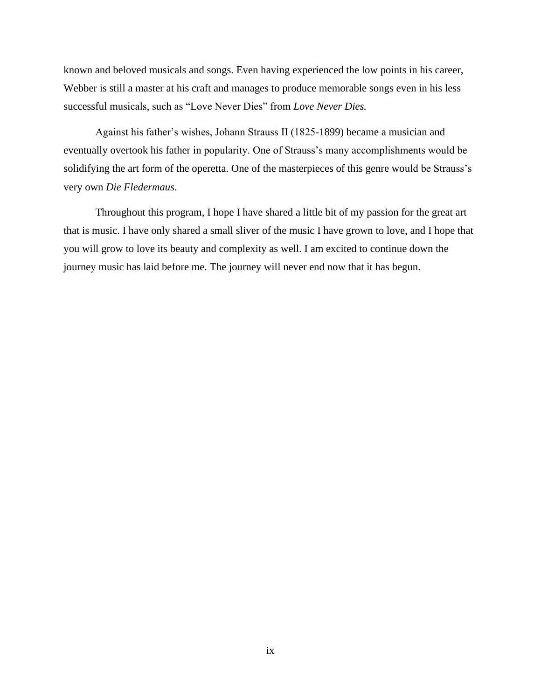known and beloved musicals and songs. Even having experienced the low points in his career, Webber is still a master at his craft and manages to produce memorable songs even in his less successful musicals, such as "Love Never Dies" from *Love Never Dies.*

Against his father's wishes, Johann Strauss II (1825-1899) became a musician and eventually overtook his father in popularity. One of Strauss's many accomplishments would be solidifying the art form of the operetta. One of the masterpieces of this genre would be Strauss's very own *Die Fledermaus.*

Throughout this program, I hope I have shared a little bit of my passion for the great art that is music. I have only shared a small sliver of the music I have grown to love, and I hope that you will grow to love its beauty and complexity as well. I am excited to continue down the journey music has laid before me. The journey will never end now that it has begun.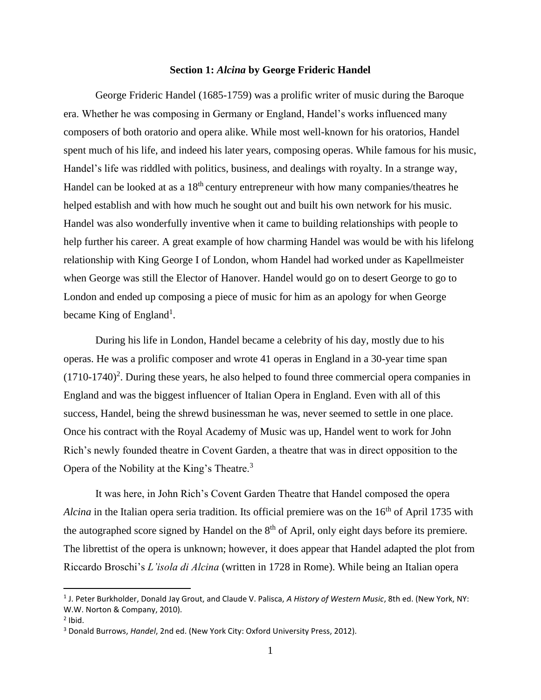# **Section 1:** *Alcina* **by George Frideric Handel**

George Frideric Handel (1685-1759) was a prolific writer of music during the Baroque era. Whether he was composing in Germany or England, Handel's works influenced many composers of both oratorio and opera alike. While most well-known for his oratorios, Handel spent much of his life, and indeed his later years, composing operas. While famous for his music, Handel's life was riddled with politics, business, and dealings with royalty. In a strange way, Handel can be looked at as a 18<sup>th</sup> century entrepreneur with how many companies/theatres he helped establish and with how much he sought out and built his own network for his music. Handel was also wonderfully inventive when it came to building relationships with people to help further his career. A great example of how charming Handel was would be with his lifelong relationship with King George I of London, whom Handel had worked under as Kapellmeister when George was still the Elector of Hanover. Handel would go on to desert George to go to London and ended up composing a piece of music for him as an apology for when George became King of England<sup>1</sup>.

During his life in London, Handel became a celebrity of his day, mostly due to his operas. He was a prolific composer and wrote 41 operas in England in a 30-year time span  $(1710-1740)^2$ . During these years, he also helped to found three commercial opera companies in England and was the biggest influencer of Italian Opera in England. Even with all of this success, Handel, being the shrewd businessman he was, never seemed to settle in one place. Once his contract with the Royal Academy of Music was up, Handel went to work for John Rich's newly founded theatre in Covent Garden, a theatre that was in direct opposition to the Opera of the Nobility at the King's Theatre.<sup>3</sup>

It was here, in John Rich's Covent Garden Theatre that Handel composed the opera *Alcina* in the Italian opera seria tradition. Its official premiere was on the 16<sup>th</sup> of April 1735 with the autographed score signed by Handel on the  $8<sup>th</sup>$  of April, only eight days before its premiere. The librettist of the opera is unknown; however, it does appear that Handel adapted the plot from Riccardo Broschi's *L'isola di Alcina* (written in 1728 in Rome). While being an Italian opera

<sup>1</sup> J. Peter Burkholder, Donald Jay Grout, and Claude V. Palisca, *A History of Western Music*, 8th ed. (New York, NY: W.W. Norton & Company, 2010).

 $<sup>2</sup>$  Ibid.</sup>

<sup>3</sup> Donald Burrows, *Handel*, 2nd ed. (New York City: Oxford University Press, 2012).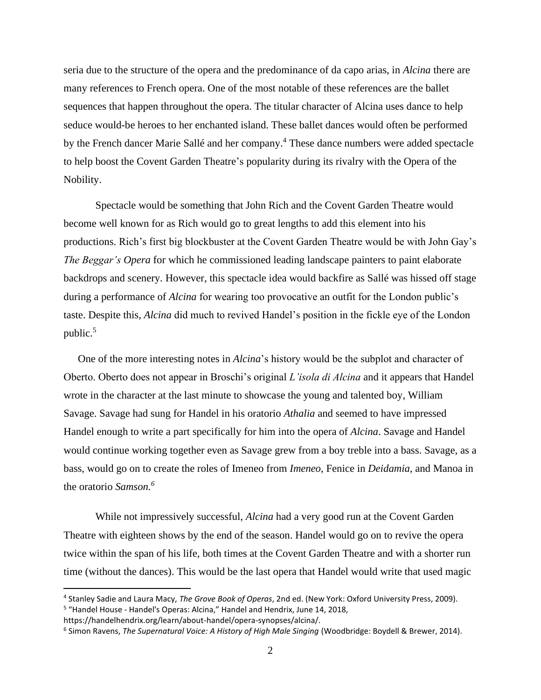seria due to the structure of the opera and the predominance of da capo arias, in *Alcina* there are many references to French opera. One of the most notable of these references are the ballet sequences that happen throughout the opera. The titular character of Alcina uses dance to help seduce would-be heroes to her enchanted island. These ballet dances would often be performed by the French dancer Marie Sallé and her company. <sup>4</sup> These dance numbers were added spectacle to help boost the Covent Garden Theatre's popularity during its rivalry with the Opera of the Nobility.

Spectacle would be something that John Rich and the Covent Garden Theatre would become well known for as Rich would go to great lengths to add this element into his productions. Rich's first big blockbuster at the Covent Garden Theatre would be with John Gay's *The Beggar's Opera* for which he commissioned leading landscape painters to paint elaborate backdrops and scenery. However, this spectacle idea would backfire as Sallé was hissed off stage during a performance of *Alcina* for wearing too provocative an outfit for the London public's taste. Despite this, *Alcina* did much to revived Handel's position in the fickle eye of the London public. $5$ 

One of the more interesting notes in *Alcina*'s history would be the subplot and character of Oberto. Oberto does not appear in Broschi's original *L'isola di Alcina* and it appears that Handel wrote in the character at the last minute to showcase the young and talented boy, William Savage. Savage had sung for Handel in his oratorio *Athalia* and seemed to have impressed Handel enough to write a part specifically for him into the opera of *Alcina*. Savage and Handel would continue working together even as Savage grew from a boy treble into a bass. Savage, as a bass, would go on to create the roles of Imeneo from *Imeneo*, Fenice in *Deidamia*, and Manoa in the oratorio *Samson.<sup>6</sup>*

While not impressively successful, *Alcina* had a very good run at the Covent Garden Theatre with eighteen shows by the end of the season. Handel would go on to revive the opera twice within the span of his life, both times at the Covent Garden Theatre and with a shorter run time (without the dances). This would be the last opera that Handel would write that used magic

<sup>4</sup> Stanley Sadie and Laura Macy, *The Grove Book of Operas*, 2nd ed. (New York: Oxford University Press, 2009). <sup>5</sup> "Handel House - Handel's Operas: Alcina," Handel and Hendrix, June 14, 2018,

https://handelhendrix.org/learn/about-handel/opera-synopses/alcina/.

<sup>6</sup> Simon Ravens, *The Supernatural Voice: A History of High Male Singing* (Woodbridge: Boydell & Brewer, 2014).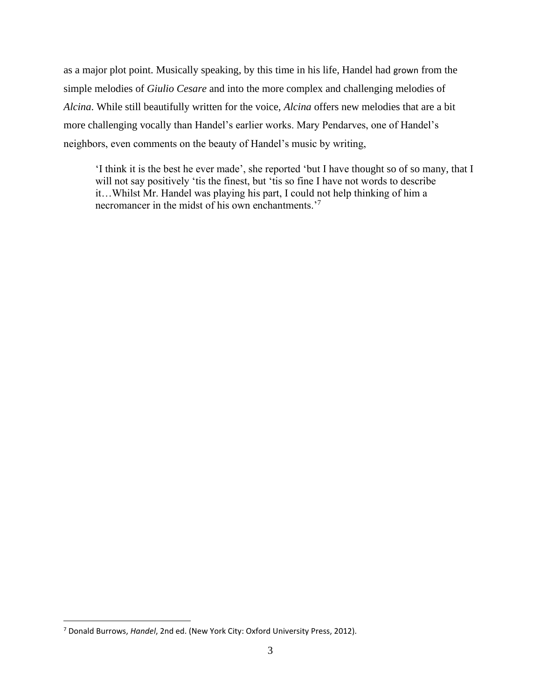as a major plot point. Musically speaking, by this time in his life, Handel had grown from the simple melodies of *Giulio Cesare* and into the more complex and challenging melodies of *Alcina*. While still beautifully written for the voice, *Alcina* offers new melodies that are a bit more challenging vocally than Handel's earlier works. Mary Pendarves, one of Handel's neighbors, even comments on the beauty of Handel's music by writing,

'I think it is the best he ever made', she reported 'but I have thought so of so many, that I will not say positively 'tis the finest, but 'tis so fine I have not words to describe it…Whilst Mr. Handel was playing his part, I could not help thinking of him a necromancer in the midst of his own enchantments.<sup>7</sup>

<sup>7</sup> Donald Burrows, *Handel*, 2nd ed. (New York City: Oxford University Press, 2012).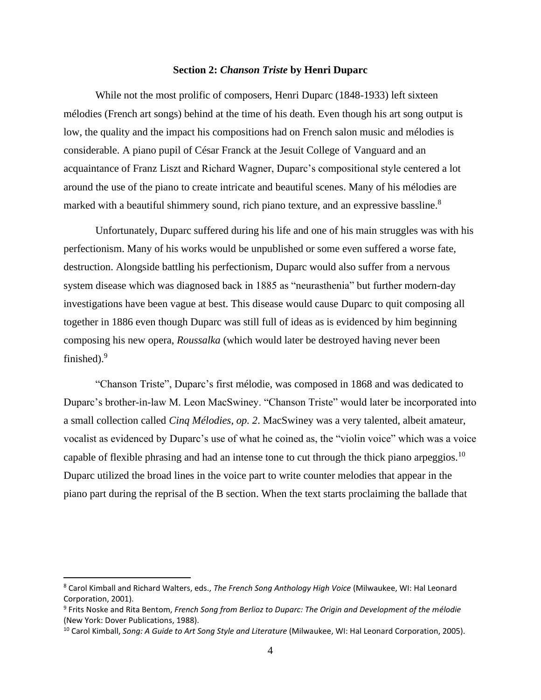# **Section 2:** *Chanson Triste* **by Henri Duparc**

While not the most prolific of composers, Henri Duparc (1848-1933) left sixteen mélodies (French art songs) behind at the time of his death. Even though his art song output is low, the quality and the impact his compositions had on French salon music and mélodies is considerable. A piano pupil of César Franck at the Jesuit College of Vanguard and an acquaintance of Franz Liszt and Richard Wagner, Duparc's compositional style centered a lot around the use of the piano to create intricate and beautiful scenes. Many of his mélodies are marked with a beautiful shimmery sound, rich piano texture, and an expressive bassline.<sup>8</sup>

Unfortunately, Duparc suffered during his life and one of his main struggles was with his perfectionism. Many of his works would be unpublished or some even suffered a worse fate, destruction. Alongside battling his perfectionism, Duparc would also suffer from a nervous system disease which was diagnosed back in 1885 as "neurasthenia" but further modern-day investigations have been vague at best. This disease would cause Duparc to quit composing all together in 1886 even though Duparc was still full of ideas as is evidenced by him beginning composing his new opera, *Roussalka* (which would later be destroyed having never been finished). $9$ 

"Chanson Triste", Duparc's first mélodie, was composed in 1868 and was dedicated to Duparc's brother-in-law M. Leon MacSwiney. "Chanson Triste" would later be incorporated into a small collection called *Cinq Mélodies, op. 2*. MacSwiney was a very talented, albeit amateur, vocalist as evidenced by Duparc's use of what he coined as, the "violin voice" which was a voice capable of flexible phrasing and had an intense tone to cut through the thick piano arpeggios.<sup>10</sup> Duparc utilized the broad lines in the voice part to write counter melodies that appear in the piano part during the reprisal of the B section. When the text starts proclaiming the ballade that

<sup>8</sup> Carol Kimball and Richard Walters, eds., *The French Song Anthology High Voice* (Milwaukee, WI: Hal Leonard Corporation, 2001).

<sup>9</sup> Frits Noske and Rita Bentom, *French Song from Berlioz to Duparc: The Origin and Development of the mélodie* (New York: Dover Publications, 1988).

<sup>&</sup>lt;sup>10</sup> Carol Kimball, *Song: A Guide to Art Song Style and Literature* (Milwaukee, WI: Hal Leonard Corporation, 2005).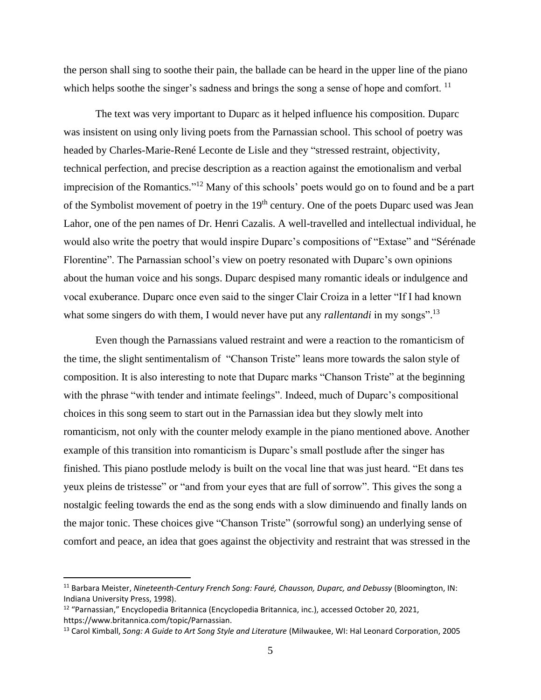the person shall sing to soothe their pain, the ballade can be heard in the upper line of the piano which helps soothe the singer's sadness and brings the song a sense of hope and comfort.  $^{11}$ 

The text was very important to Duparc as it helped influence his composition. Duparc was insistent on using only living poets from the Parnassian school. This school of poetry was headed by Charles-Marie-René Leconte de Lisle and they "stressed restraint, objectivity, technical perfection, and precise description as a reaction against the emotionalism and verbal imprecision of the Romantics."<sup>12</sup> Many of this schools' poets would go on to found and be a part of the Symbolist movement of poetry in the  $19<sup>th</sup>$  century. One of the poets Duparc used was Jean Lahor, one of the pen names of Dr. Henri Cazalis. A well-travelled and intellectual individual, he would also write the poetry that would inspire Duparc's compositions of "Extase" and "Sérénade Florentine". The Parnassian school's view on poetry resonated with Duparc's own opinions about the human voice and his songs. Duparc despised many romantic ideals or indulgence and vocal exuberance. Duparc once even said to the singer Clair Croiza in a letter "If I had known what some singers do with them, I would never have put any *rallentandi* in my songs".<sup>13</sup>

Even though the Parnassians valued restraint and were a reaction to the romanticism of the time, the slight sentimentalism of "Chanson Triste" leans more towards the salon style of composition. It is also interesting to note that Duparc marks "Chanson Triste" at the beginning with the phrase "with tender and intimate feelings". Indeed, much of Duparc's compositional choices in this song seem to start out in the Parnassian idea but they slowly melt into romanticism, not only with the counter melody example in the piano mentioned above. Another example of this transition into romanticism is Duparc's small postlude after the singer has finished. This piano postlude melody is built on the vocal line that was just heard. "Et dans tes yeux pleins de tristesse" or "and from your eyes that are full of sorrow". This gives the song a nostalgic feeling towards the end as the song ends with a slow diminuendo and finally lands on the major tonic. These choices give "Chanson Triste" (sorrowful song) an underlying sense of comfort and peace, an idea that goes against the objectivity and restraint that was stressed in the

<sup>11</sup> Barbara Meister, *Nineteenth-Century French Song: Fauré, Chausson, Duparc, and Debussy* (Bloomington, IN: Indiana University Press, 1998).

<sup>12</sup> "Parnassian," Encyclopedia Britannica (Encyclopedia Britannica, inc.), accessed October 20, 2021, https://www.britannica.com/topic/Parnassian.

<sup>13</sup> Carol Kimball, *Song: A Guide to Art Song Style and Literature* (Milwaukee, WI: Hal Leonard Corporation, 2005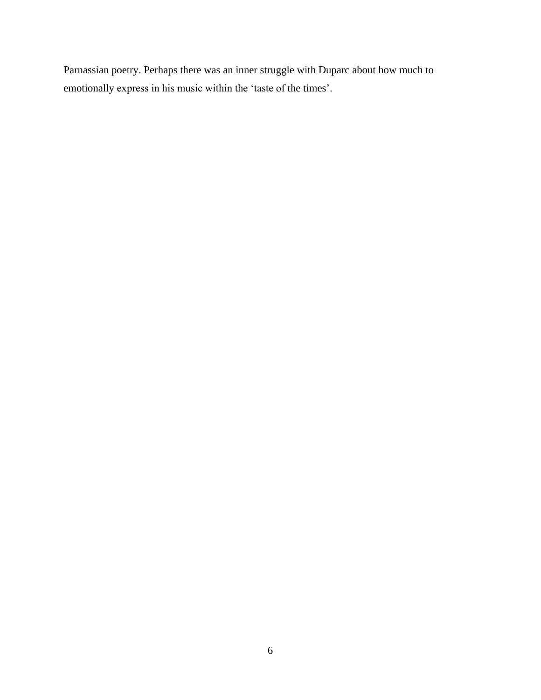Parnassian poetry. Perhaps there was an inner struggle with Duparc about how much to emotionally express in his music within the 'taste of the times'.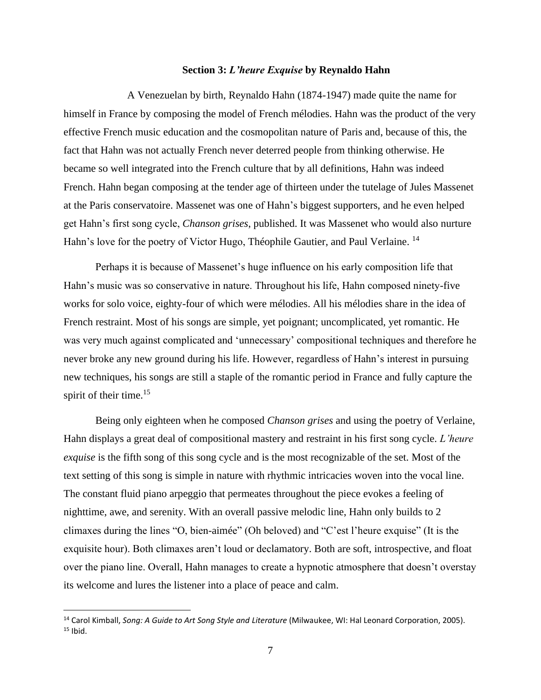# **Section 3:** *L'heure Exquise* **by Reynaldo Hahn**

A Venezuelan by birth, Reynaldo Hahn (1874-1947) made quite the name for himself in France by composing the model of French mélodies. Hahn was the product of the very effective French music education and the cosmopolitan nature of Paris and, because of this, the fact that Hahn was not actually French never deterred people from thinking otherwise. He became so well integrated into the French culture that by all definitions, Hahn was indeed French. Hahn began composing at the tender age of thirteen under the tutelage of Jules Massenet at the Paris conservatoire. Massenet was one of Hahn's biggest supporters, and he even helped get Hahn's first song cycle, *Chanson grises*, published. It was Massenet who would also nurture Hahn's love for the poetry of Victor Hugo, Théophile Gautier, and Paul Verlaine. <sup>14</sup>

Perhaps it is because of Massenet's huge influence on his early composition life that Hahn's music was so conservative in nature. Throughout his life, Hahn composed ninety-five works for solo voice, eighty-four of which were mélodies. All his mélodies share in the idea of French restraint. Most of his songs are simple, yet poignant; uncomplicated, yet romantic. He was very much against complicated and 'unnecessary' compositional techniques and therefore he never broke any new ground during his life. However, regardless of Hahn's interest in pursuing new techniques, his songs are still a staple of the romantic period in France and fully capture the spirit of their time.<sup>15</sup>

Being only eighteen when he composed *Chanson grises* and using the poetry of Verlaine, Hahn displays a great deal of compositional mastery and restraint in his first song cycle. *L'heure exquise* is the fifth song of this song cycle and is the most recognizable of the set. Most of the text setting of this song is simple in nature with rhythmic intricacies woven into the vocal line. The constant fluid piano arpeggio that permeates throughout the piece evokes a feeling of nighttime, awe, and serenity. With an overall passive melodic line, Hahn only builds to 2 climaxes during the lines "O, bien-aimée" (Oh beloved) and "C'est l'heure exquise" (It is the exquisite hour). Both climaxes aren't loud or declamatory. Both are soft, introspective, and float over the piano line. Overall, Hahn manages to create a hypnotic atmosphere that doesn't overstay its welcome and lures the listener into a place of peace and calm.

<sup>14</sup> Carol Kimball, *Song: A Guide to Art Song Style and Literature* (Milwaukee, WI: Hal Leonard Corporation, 2005).  $15$  Ibid.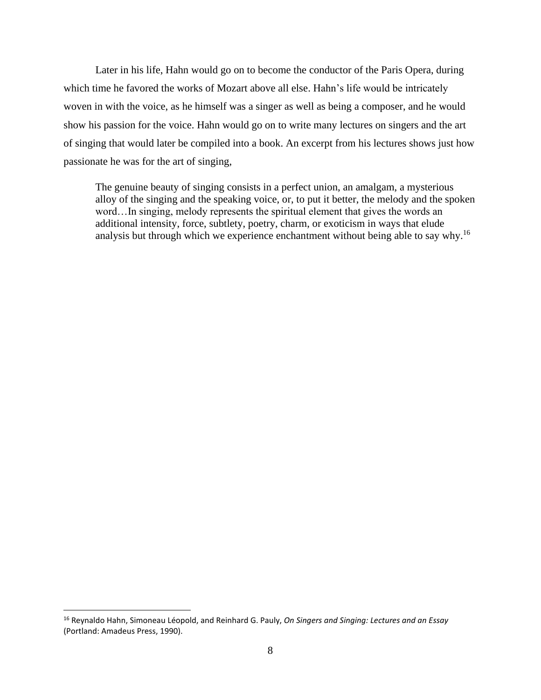Later in his life, Hahn would go on to become the conductor of the Paris Opera, during which time he favored the works of Mozart above all else. Hahn's life would be intricately woven in with the voice, as he himself was a singer as well as being a composer, and he would show his passion for the voice. Hahn would go on to write many lectures on singers and the art of singing that would later be compiled into a book. An excerpt from his lectures shows just how passionate he was for the art of singing,

The genuine beauty of singing consists in a perfect union, an amalgam, a mysterious alloy of the singing and the speaking voice, or, to put it better, the melody and the spoken word…In singing, melody represents the spiritual element that gives the words an additional intensity, force, subtlety, poetry, charm, or exoticism in ways that elude analysis but through which we experience enchantment without being able to say why.<sup>16</sup>

<sup>16</sup> Reynaldo Hahn, Simoneau Léopold, and Reinhard G. Pauly, *On Singers and Singing: Lectures and an Essay* (Portland: Amadeus Press, 1990).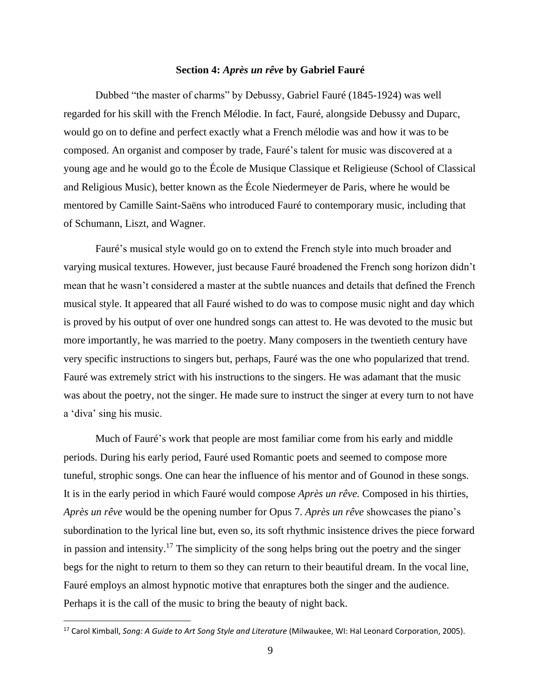# **Section 4:** *Après un rêve* **by Gabriel Fauré**

Dubbed "the master of charms" by Debussy, Gabriel Fauré (1845-1924) was well regarded for his skill with the French Mélodie. In fact, Fauré, alongside Debussy and Duparc, would go on to define and perfect exactly what a French mélodie was and how it was to be composed. An organist and composer by trade, Fauré's talent for music was discovered at a young age and he would go to the École de Musique Classique et Religieuse (School of Classical and Religious Music), better known as the École Niedermeyer de Paris, where he would be mentored by Camille Saint-Saëns who introduced Fauré to contemporary music, including that of Schumann, Liszt, and Wagner.

Fauré's musical style would go on to extend the French style into much broader and varying musical textures. However, just because Fauré broadened the French song horizon didn't mean that he wasn't considered a master at the subtle nuances and details that defined the French musical style. It appeared that all Fauré wished to do was to compose music night and day which is proved by his output of over one hundred songs can attest to. He was devoted to the music but more importantly, he was married to the poetry. Many composers in the twentieth century have very specific instructions to singers but, perhaps, Fauré was the one who popularized that trend. Fauré was extremely strict with his instructions to the singers. He was adamant that the music was about the poetry, not the singer. He made sure to instruct the singer at every turn to not have a 'diva' sing his music.

Much of Fauré's work that people are most familiar come from his early and middle periods. During his early period, Fauré used Romantic poets and seemed to compose more tuneful, strophic songs. One can hear the influence of his mentor and of Gounod in these songs. It is in the early period in which Fauré would compose *Après un rêve.* Composed in his thirties, *Après un rêve* would be the opening number for Opus 7. *Après un rêve* showcases the piano's subordination to the lyrical line but, even so, its soft rhythmic insistence drives the piece forward in passion and intensity.<sup>17</sup> The simplicity of the song helps bring out the poetry and the singer begs for the night to return to them so they can return to their beautiful dream. In the vocal line, Fauré employs an almost hypnotic motive that enraptures both the singer and the audience. Perhaps it is the call of the music to bring the beauty of night back.

<sup>17</sup> Carol Kimball, *Song: A Guide to Art Song Style and Literature* (Milwaukee, WI: Hal Leonard Corporation, 2005).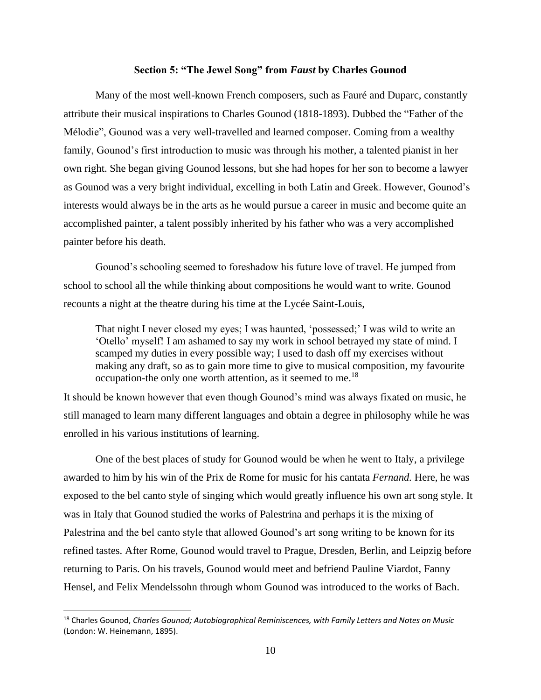# **Section 5: "The Jewel Song" from** *Faust* **by Charles Gounod**

Many of the most well-known French composers, such as Fauré and Duparc, constantly attribute their musical inspirations to Charles Gounod (1818-1893). Dubbed the "Father of the Mélodie", Gounod was a very well-travelled and learned composer. Coming from a wealthy family, Gounod's first introduction to music was through his mother, a talented pianist in her own right. She began giving Gounod lessons, but she had hopes for her son to become a lawyer as Gounod was a very bright individual, excelling in both Latin and Greek. However, Gounod's interests would always be in the arts as he would pursue a career in music and become quite an accomplished painter, a talent possibly inherited by his father who was a very accomplished painter before his death.

Gounod's schooling seemed to foreshadow his future love of travel. He jumped from school to school all the while thinking about compositions he would want to write. Gounod recounts a night at the theatre during his time at the Lycée Saint-Louis,

That night I never closed my eyes; I was haunted, 'possessed;' I was wild to write an 'Otello' myself! I am ashamed to say my work in school betrayed my state of mind. I scamped my duties in every possible way; I used to dash off my exercises without making any draft, so as to gain more time to give to musical composition, my favourite occupation-the only one worth attention, as it seemed to me.<sup>18</sup>

It should be known however that even though Gounod's mind was always fixated on music, he still managed to learn many different languages and obtain a degree in philosophy while he was enrolled in his various institutions of learning.

One of the best places of study for Gounod would be when he went to Italy, a privilege awarded to him by his win of the Prix de Rome for music for his cantata *Fernand.* Here, he was exposed to the bel canto style of singing which would greatly influence his own art song style. It was in Italy that Gounod studied the works of Palestrina and perhaps it is the mixing of Palestrina and the bel canto style that allowed Gounod's art song writing to be known for its refined tastes. After Rome, Gounod would travel to Prague, Dresden, Berlin, and Leipzig before returning to Paris. On his travels, Gounod would meet and befriend Pauline Viardot, Fanny Hensel, and Felix Mendelssohn through whom Gounod was introduced to the works of Bach.

<sup>18</sup> Charles Gounod, *Charles Gounod; Autobiographical Reminiscences, with Family Letters and Notes on Music* (London: W. Heinemann, 1895).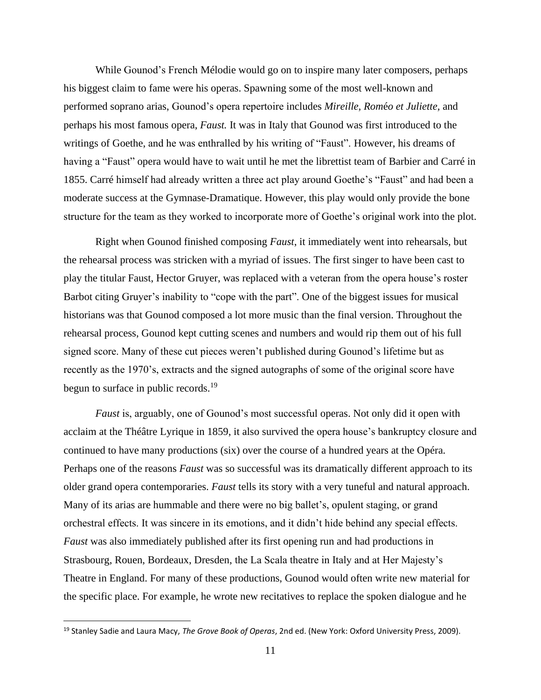While Gounod's French Mélodie would go on to inspire many later composers, perhaps his biggest claim to fame were his operas. Spawning some of the most well-known and performed soprano arias, Gounod's opera repertoire includes *Mireille, Rom*é*o et Juliette,* and perhaps his most famous opera, *Faust.* It was in Italy that Gounod was first introduced to the writings of Goethe, and he was enthralled by his writing of "Faust". However, his dreams of having a "Faust" opera would have to wait until he met the librettist team of Barbier and Carré in 1855. Carré himself had already written a three act play around Goethe's "Faust" and had been a moderate success at the Gymnase-Dramatique. However, this play would only provide the bone structure for the team as they worked to incorporate more of Goethe's original work into the plot.

Right when Gounod finished composing *Faust*, it immediately went into rehearsals, but the rehearsal process was stricken with a myriad of issues. The first singer to have been cast to play the titular Faust, Hector Gruyer, was replaced with a veteran from the opera house's roster Barbot citing Gruyer's inability to "cope with the part". One of the biggest issues for musical historians was that Gounod composed a lot more music than the final version. Throughout the rehearsal process, Gounod kept cutting scenes and numbers and would rip them out of his full signed score. Many of these cut pieces weren't published during Gounod's lifetime but as recently as the 1970's, extracts and the signed autographs of some of the original score have begun to surface in public records.<sup>19</sup>

*Faust* is, arguably, one of Gounod's most successful operas. Not only did it open with acclaim at the Théâtre Lyrique in 1859, it also survived the opera house's bankruptcy closure and continued to have many productions (six) over the course of a hundred years at the Opéra. Perhaps one of the reasons *Faust* was so successful was its dramatically different approach to its older grand opera contemporaries. *Faust* tells its story with a very tuneful and natural approach. Many of its arias are hummable and there were no big ballet's, opulent staging, or grand orchestral effects. It was sincere in its emotions, and it didn't hide behind any special effects. *Faust* was also immediately published after its first opening run and had productions in Strasbourg, Rouen, Bordeaux, Dresden, the La Scala theatre in Italy and at Her Majesty's Theatre in England. For many of these productions, Gounod would often write new material for the specific place. For example, he wrote new recitatives to replace the spoken dialogue and he

<sup>19</sup> Stanley Sadie and Laura Macy, *The Grove Book of Operas*, 2nd ed. (New York: Oxford University Press, 2009).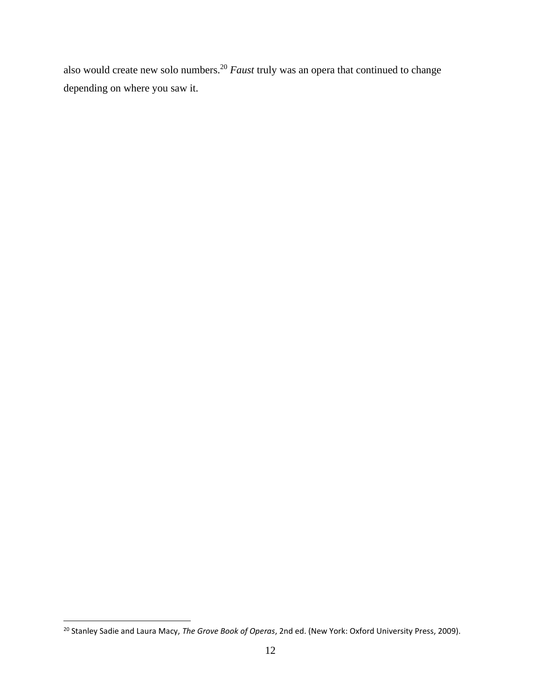also would create new solo numbers.<sup>20</sup> *Faust* truly was an opera that continued to change depending on where you saw it.

<sup>20</sup> Stanley Sadie and Laura Macy, *The Grove Book of Operas*, 2nd ed. (New York: Oxford University Press, 2009).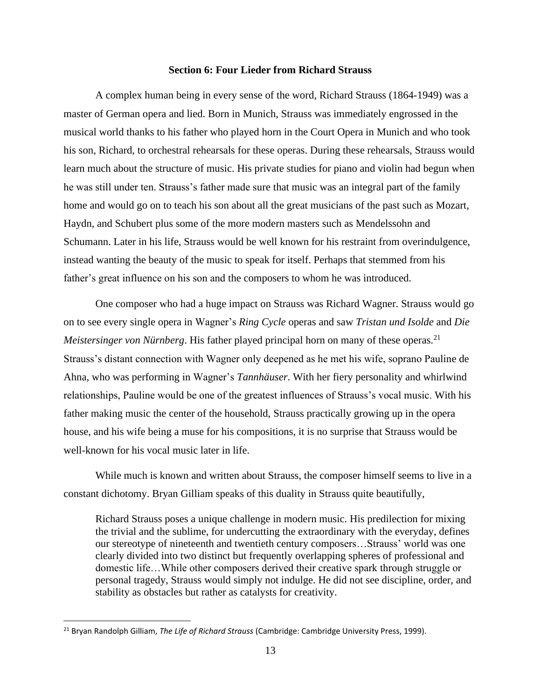# **Section 6: Four Lieder from Richard Strauss**

A complex human being in every sense of the word, Richard Strauss (1864-1949) was a master of German opera and lied. Born in Munich, Strauss was immediately engrossed in the musical world thanks to his father who played horn in the Court Opera in Munich and who took his son, Richard, to orchestral rehearsals for these operas. During these rehearsals, Strauss would learn much about the structure of music. His private studies for piano and violin had begun when he was still under ten. Strauss's father made sure that music was an integral part of the family home and would go on to teach his son about all the great musicians of the past such as Mozart, Haydn, and Schubert plus some of the more modern masters such as Mendelssohn and Schumann. Later in his life, Strauss would be well known for his restraint from overindulgence, instead wanting the beauty of the music to speak for itself. Perhaps that stemmed from his father's great influence on his son and the composers to whom he was introduced.

One composer who had a huge impact on Strauss was Richard Wagner. Strauss would go on to see every single opera in Wagner's *Ring Cycle* operas and saw *Tristan und Isolde* and *Die Meistersinger von Nürnberg*. His father played principal horn on many of these operas.<sup>21</sup> Strauss's distant connection with Wagner only deepened as he met his wife, soprano Pauline de Ahna, who was performing in Wagner's *Tannhäuser*. With her fiery personality and whirlwind relationships, Pauline would be one of the greatest influences of Strauss's vocal music. With his father making music the center of the household, Strauss practically growing up in the opera house, and his wife being a muse for his compositions, it is no surprise that Strauss would be well-known for his vocal music later in life.

While much is known and written about Strauss, the composer himself seems to live in a constant dichotomy. Bryan Gilliam speaks of this duality in Strauss quite beautifully,

Richard Strauss poses a unique challenge in modern music. His predilection for mixing the trivial and the sublime, for undercutting the extraordinary with the everyday, defines our stereotype of nineteenth and twentieth century composers…Strauss' world was one clearly divided into two distinct but frequently overlapping spheres of professional and domestic life…While other composers derived their creative spark through struggle or personal tragedy, Strauss would simply not indulge. He did not see discipline, order, and stability as obstacles but rather as catalysts for creativity.

<sup>21</sup> Bryan Randolph Gilliam, *The Life of Richard Strauss* (Cambridge: Cambridge University Press, 1999).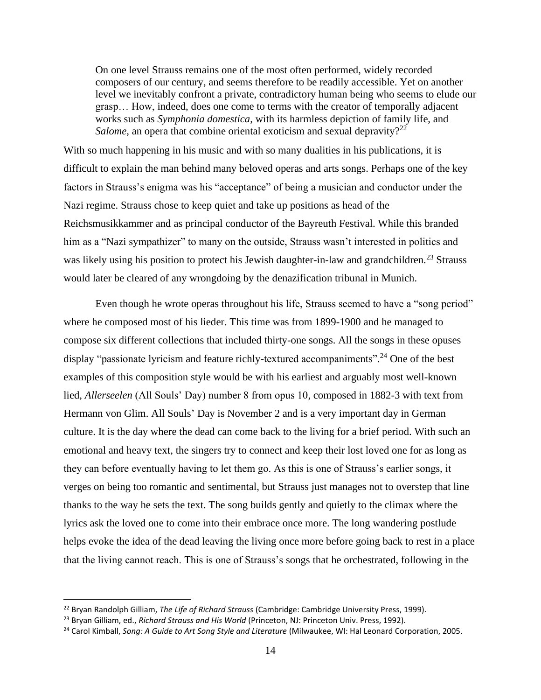On one level Strauss remains one of the most often performed, widely recorded composers of our century, and seems therefore to be readily accessible. Yet on another level we inevitably confront a private, contradictory human being who seems to elude our grasp… How, indeed, does one come to terms with the creator of temporally adjacent works such as *Symphonia domestica*, with its harmless depiction of family life, and *Salome*, an opera that combine oriental exoticism and sexual depravity?<sup>22</sup>

With so much happening in his music and with so many dualities in his publications, it is difficult to explain the man behind many beloved operas and arts songs. Perhaps one of the key factors in Strauss's enigma was his "acceptance" of being a musician and conductor under the Nazi regime. Strauss chose to keep quiet and take up positions as head of the Reichsmusikkammer and as principal conductor of the Bayreuth Festival. While this branded him as a "Nazi sympathizer" to many on the outside, Strauss wasn't interested in politics and was likely using his position to protect his Jewish daughter-in-law and grandchildren.<sup>23</sup> Strauss would later be cleared of any wrongdoing by the denazification tribunal in Munich.

Even though he wrote operas throughout his life, Strauss seemed to have a "song period" where he composed most of his lieder. This time was from 1899-1900 and he managed to compose six different collections that included thirty-one songs. All the songs in these opuses display "passionate lyricism and feature richly-textured accompaniments".<sup>24</sup> One of the best examples of this composition style would be with his earliest and arguably most well-known lied, *Allerseelen* (All Souls' Day) number 8 from opus 10, composed in 1882-3 with text from Hermann von Glim. All Souls' Day is November 2 and is a very important day in German culture. It is the day where the dead can come back to the living for a brief period. With such an emotional and heavy text, the singers try to connect and keep their lost loved one for as long as they can before eventually having to let them go. As this is one of Strauss's earlier songs, it verges on being too romantic and sentimental, but Strauss just manages not to overstep that line thanks to the way he sets the text. The song builds gently and quietly to the climax where the lyrics ask the loved one to come into their embrace once more. The long wandering postlude helps evoke the idea of the dead leaving the living once more before going back to rest in a place that the living cannot reach. This is one of Strauss's songs that he orchestrated, following in the

<sup>22</sup> Bryan Randolph Gilliam, *The Life of Richard Strauss* (Cambridge: Cambridge University Press, 1999).

<sup>23</sup> Bryan Gilliam, ed., *Richard Strauss and His World* (Princeton, NJ: Princeton Univ. Press, 1992).

<sup>24</sup> Carol Kimball, *Song: A Guide to Art Song Style and Literature* (Milwaukee, WI: Hal Leonard Corporation, 2005.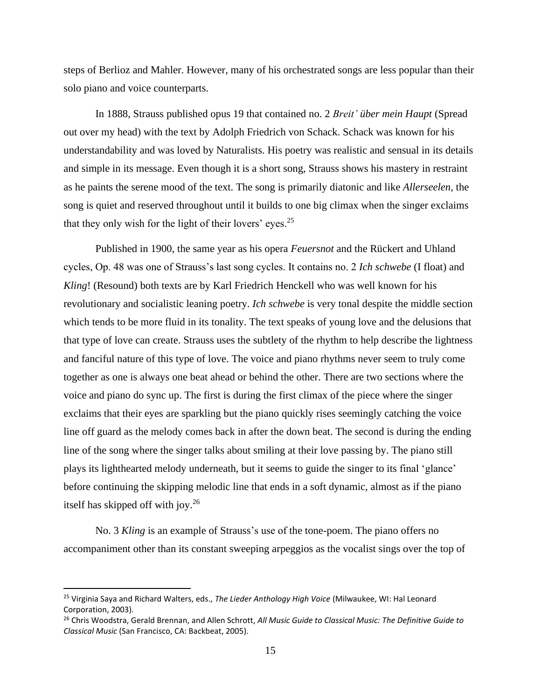steps of Berlioz and Mahler. However, many of his orchestrated songs are less popular than their solo piano and voice counterparts.

In 1888, Strauss published opus 19 that contained no. 2 *Breit' über mein Haupt* (Spread out over my head) with the text by Adolph Friedrich von Schack. Schack was known for his understandability and was loved by Naturalists. His poetry was realistic and sensual in its details and simple in its message. Even though it is a short song, Strauss shows his mastery in restraint as he paints the serene mood of the text. The song is primarily diatonic and like *Allerseelen,* the song is quiet and reserved throughout until it builds to one big climax when the singer exclaims that they only wish for the light of their lovers' eyes.<sup>25</sup>

Published in 1900, the same year as his opera *Feuersnot* and the Rückert and Uhland cycles, Op. 48 was one of Strauss's last song cycles. It contains no. 2 *Ich schwebe* (I float) and *Kling*! (Resound) both texts are by Karl Friedrich Henckell who was well known for his revolutionary and socialistic leaning poetry. *Ich schwebe* is very tonal despite the middle section which tends to be more fluid in its tonality. The text speaks of young love and the delusions that that type of love can create. Strauss uses the subtlety of the rhythm to help describe the lightness and fanciful nature of this type of love. The voice and piano rhythms never seem to truly come together as one is always one beat ahead or behind the other. There are two sections where the voice and piano do sync up. The first is during the first climax of the piece where the singer exclaims that their eyes are sparkling but the piano quickly rises seemingly catching the voice line off guard as the melody comes back in after the down beat. The second is during the ending line of the song where the singer talks about smiling at their love passing by. The piano still plays its lighthearted melody underneath, but it seems to guide the singer to its final 'glance' before continuing the skipping melodic line that ends in a soft dynamic, almost as if the piano itself has skipped off with joy.<sup>26</sup>

No. 3 *Kling* is an example of Strauss's use of the tone-poem. The piano offers no accompaniment other than its constant sweeping arpeggios as the vocalist sings over the top of

<sup>25</sup> Virginia Saya and Richard Walters, eds., *The Lieder Anthology High Voice* (Milwaukee, WI: Hal Leonard Corporation, 2003).

<sup>26</sup> Chris Woodstra, Gerald Brennan, and Allen Schrott, *All Music Guide to Classical Music: The Definitive Guide to Classical Music* (San Francisco, CA: Backbeat, 2005).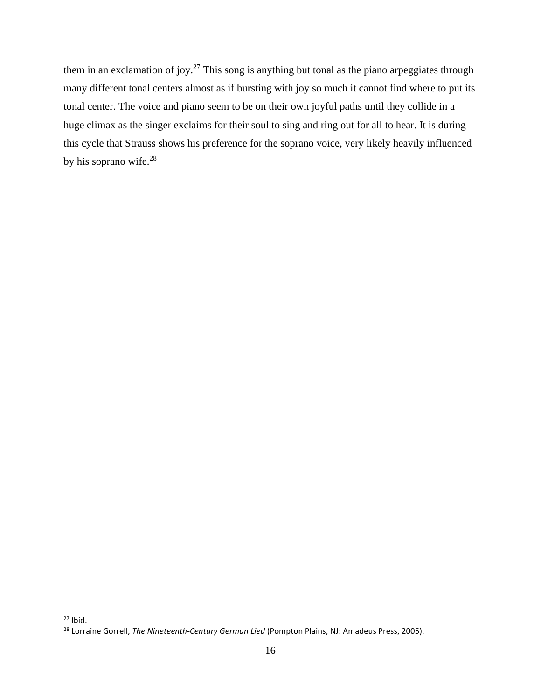them in an exclamation of joy.<sup>27</sup> This song is anything but tonal as the piano arpeggiates through many different tonal centers almost as if bursting with joy so much it cannot find where to put its tonal center. The voice and piano seem to be on their own joyful paths until they collide in a huge climax as the singer exclaims for their soul to sing and ring out for all to hear. It is during this cycle that Strauss shows his preference for the soprano voice, very likely heavily influenced by his soprano wife.<sup>28</sup>

 $27$  Ibid.

<sup>28</sup> Lorraine Gorrell, *The Nineteenth-Century German Lied* (Pompton Plains, NJ: Amadeus Press, 2005).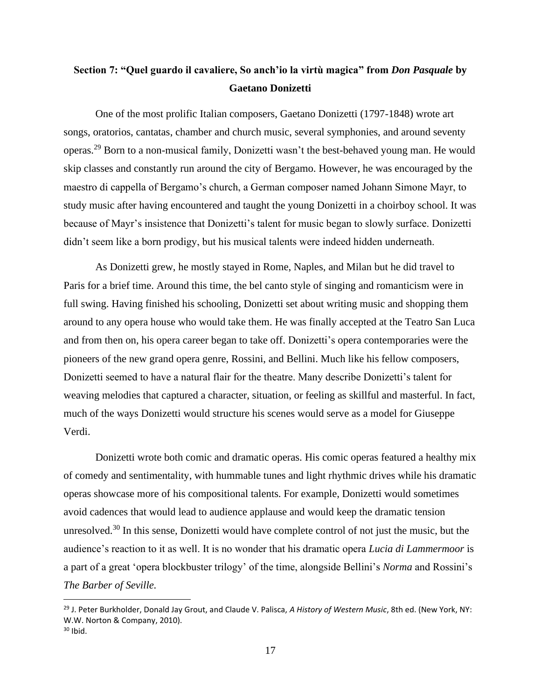# **Section 7: "Quel guardo il cavaliere, So anch'io la virtù magica" from** *Don Pasquale* **by Gaetano Donizetti**

One of the most prolific Italian composers, Gaetano Donizetti (1797-1848) wrote art songs, oratorios, cantatas, chamber and church music, several symphonies, and around seventy operas.<sup>29</sup> Born to a non-musical family, Donizetti wasn't the best-behaved young man. He would skip classes and constantly run around the city of Bergamo. However, he was encouraged by the maestro di cappella of Bergamo's church, a German composer named Johann Simone Mayr, to study music after having encountered and taught the young Donizetti in a choirboy school. It was because of Mayr's insistence that Donizetti's talent for music began to slowly surface. Donizetti didn't seem like a born prodigy, but his musical talents were indeed hidden underneath.

As Donizetti grew, he mostly stayed in Rome, Naples, and Milan but he did travel to Paris for a brief time. Around this time, the bel canto style of singing and romanticism were in full swing. Having finished his schooling, Donizetti set about writing music and shopping them around to any opera house who would take them. He was finally accepted at the Teatro San Luca and from then on, his opera career began to take off. Donizetti's opera contemporaries were the pioneers of the new grand opera genre, Rossini, and Bellini. Much like his fellow composers, Donizetti seemed to have a natural flair for the theatre. Many describe Donizetti's talent for weaving melodies that captured a character, situation, or feeling as skillful and masterful. In fact, much of the ways Donizetti would structure his scenes would serve as a model for Giuseppe Verdi.

Donizetti wrote both comic and dramatic operas. His comic operas featured a healthy mix of comedy and sentimentality, with hummable tunes and light rhythmic drives while his dramatic operas showcase more of his compositional talents. For example, Donizetti would sometimes avoid cadences that would lead to audience applause and would keep the dramatic tension unresolved.<sup>30</sup> In this sense, Donizetti would have complete control of not just the music, but the audience's reaction to it as well. It is no wonder that his dramatic opera *Lucia di Lammermoor* is a part of a great 'opera blockbuster trilogy' of the time, alongside Bellini's *Norma* and Rossini's *The Barber of Seville.* 

<sup>29</sup> J. Peter Burkholder, Donald Jay Grout, and Claude V. Palisca, *A History of Western Music*, 8th ed. (New York, NY: W.W. Norton & Company, 2010).

 $30$  Ibid.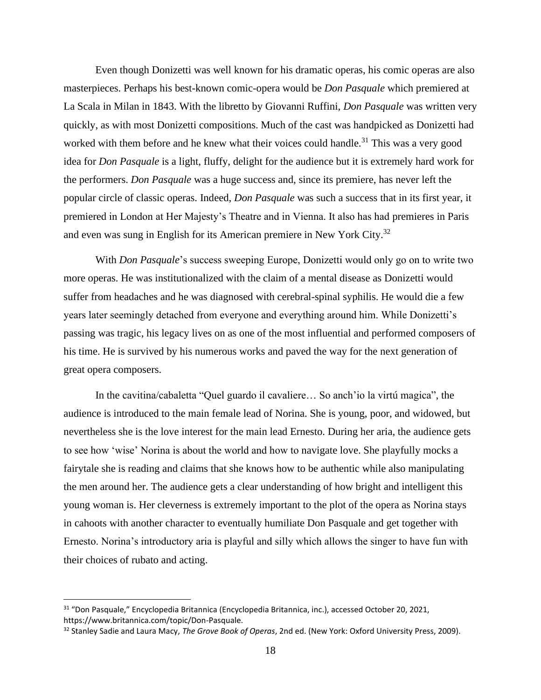Even though Donizetti was well known for his dramatic operas, his comic operas are also masterpieces. Perhaps his best-known comic-opera would be *Don Pasquale* which premiered at La Scala in Milan in 1843. With the libretto by Giovanni Ruffini, *Don Pasquale* was written very quickly, as with most Donizetti compositions. Much of the cast was handpicked as Donizetti had worked with them before and he knew what their voices could handle.<sup>31</sup> This was a very good idea for *Don Pasquale* is a light, fluffy, delight for the audience but it is extremely hard work for the performers. *Don Pasquale* was a huge success and, since its premiere, has never left the popular circle of classic operas. Indeed, *Don Pasquale* was such a success that in its first year, it premiered in London at Her Majesty's Theatre and in Vienna. It also has had premieres in Paris and even was sung in English for its American premiere in New York City.<sup>32</sup>

With *Don Pasquale*'s success sweeping Europe, Donizetti would only go on to write two more operas. He was institutionalized with the claim of a mental disease as Donizetti would suffer from headaches and he was diagnosed with cerebral-spinal syphilis. He would die a few years later seemingly detached from everyone and everything around him. While Donizetti's passing was tragic, his legacy lives on as one of the most influential and performed composers of his time. He is survived by his numerous works and paved the way for the next generation of great opera composers.

In the cavitina/cabaletta "Quel guardo il cavaliere… So anch'io la virtú magica", the audience is introduced to the main female lead of Norina. She is young, poor, and widowed, but nevertheless she is the love interest for the main lead Ernesto. During her aria, the audience gets to see how 'wise' Norina is about the world and how to navigate love. She playfully mocks a fairytale she is reading and claims that she knows how to be authentic while also manipulating the men around her. The audience gets a clear understanding of how bright and intelligent this young woman is. Her cleverness is extremely important to the plot of the opera as Norina stays in cahoots with another character to eventually humiliate Don Pasquale and get together with Ernesto. Norina's introductory aria is playful and silly which allows the singer to have fun with their choices of rubato and acting.

<sup>31</sup> "Don Pasquale," Encyclopedia Britannica (Encyclopedia Britannica, inc.), accessed October 20, 2021, https://www.britannica.com/topic/Don-Pasquale.

<sup>32</sup> Stanley Sadie and Laura Macy, *The Grove Book of Operas*, 2nd ed. (New York: Oxford University Press, 2009).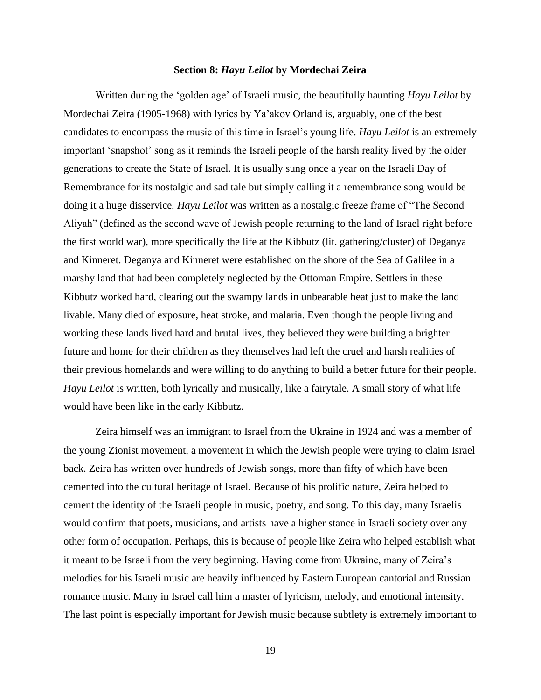#### **Section 8:** *Hayu Leilot* **by Mordechai Zeira**

Written during the 'golden age' of Israeli music, the beautifully haunting *Hayu Leilot* by Mordechai Zeira (1905-1968) with lyrics by Ya'akov Orland is, arguably, one of the best candidates to encompass the music of this time in Israel's young life. *Hayu Leilot* is an extremely important 'snapshot' song as it reminds the Israeli people of the harsh reality lived by the older generations to create the State of Israel. It is usually sung once a year on the Israeli Day of Remembrance for its nostalgic and sad tale but simply calling it a remembrance song would be doing it a huge disservice*. Hayu Leilot* was written as a nostalgic freeze frame of "The Second Aliyah" (defined as the second wave of Jewish people returning to the land of Israel right before the first world war), more specifically the life at the Kibbutz (lit. gathering/cluster) of Deganya and Kinneret. Deganya and Kinneret were established on the shore of the Sea of Galilee in a marshy land that had been completely neglected by the Ottoman Empire. Settlers in these Kibbutz worked hard, clearing out the swampy lands in unbearable heat just to make the land livable. Many died of exposure, heat stroke, and malaria. Even though the people living and working these lands lived hard and brutal lives, they believed they were building a brighter future and home for their children as they themselves had left the cruel and harsh realities of their previous homelands and were willing to do anything to build a better future for their people. *Hayu Leilot* is written, both lyrically and musically, like a fairytale. A small story of what life would have been like in the early Kibbutz.

Zeira himself was an immigrant to Israel from the Ukraine in 1924 and was a member of the young Zionist movement, a movement in which the Jewish people were trying to claim Israel back. Zeira has written over hundreds of Jewish songs, more than fifty of which have been cemented into the cultural heritage of Israel. Because of his prolific nature, Zeira helped to cement the identity of the Israeli people in music, poetry, and song. To this day, many Israelis would confirm that poets, musicians, and artists have a higher stance in Israeli society over any other form of occupation. Perhaps, this is because of people like Zeira who helped establish what it meant to be Israeli from the very beginning. Having come from Ukraine, many of Zeira's melodies for his Israeli music are heavily influenced by Eastern European cantorial and Russian romance music. Many in Israel call him a master of lyricism, melody, and emotional intensity. The last point is especially important for Jewish music because subtlety is extremely important to

19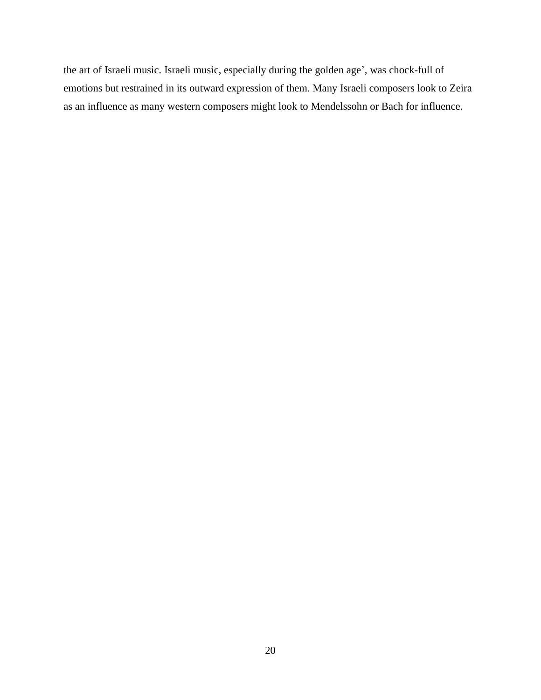the art of Israeli music. Israeli music, especially during the golden age', was chock-full of emotions but restrained in its outward expression of them. Many Israeli composers look to Zeira as an influence as many western composers might look to Mendelssohn or Bach for influence.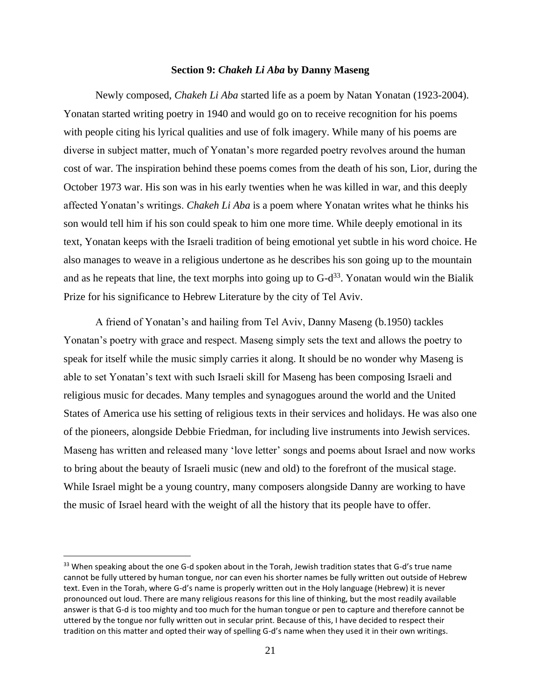#### **Section 9:** *Chakeh Li Aba* **by Danny Maseng**

Newly composed, *Chakeh Li Aba* started life as a poem by Natan Yonatan (1923-2004). Yonatan started writing poetry in 1940 and would go on to receive recognition for his poems with people citing his lyrical qualities and use of folk imagery. While many of his poems are diverse in subject matter, much of Yonatan's more regarded poetry revolves around the human cost of war. The inspiration behind these poems comes from the death of his son, Lior, during the October 1973 war. His son was in his early twenties when he was killed in war, and this deeply affected Yonatan's writings. *Chakeh Li Aba* is a poem where Yonatan writes what he thinks his son would tell him if his son could speak to him one more time. While deeply emotional in its text, Yonatan keeps with the Israeli tradition of being emotional yet subtle in his word choice. He also manages to weave in a religious undertone as he describes his son going up to the mountain and as he repeats that line, the text morphs into going up to  $G-d^{33}$ . Yonatan would win the Bialik Prize for his significance to Hebrew Literature by the city of Tel Aviv.

A friend of Yonatan's and hailing from Tel Aviv, Danny Maseng (b.1950) tackles Yonatan's poetry with grace and respect. Maseng simply sets the text and allows the poetry to speak for itself while the music simply carries it along. It should be no wonder why Maseng is able to set Yonatan's text with such Israeli skill for Maseng has been composing Israeli and religious music for decades. Many temples and synagogues around the world and the United States of America use his setting of religious texts in their services and holidays. He was also one of the pioneers, alongside Debbie Friedman, for including live instruments into Jewish services. Maseng has written and released many 'love letter' songs and poems about Israel and now works to bring about the beauty of Israeli music (new and old) to the forefront of the musical stage. While Israel might be a young country, many composers alongside Danny are working to have the music of Israel heard with the weight of all the history that its people have to offer.

<sup>33</sup> When speaking about the one G-d spoken about in the Torah, Jewish tradition states that G-d's true name cannot be fully uttered by human tongue, nor can even his shorter names be fully written out outside of Hebrew text. Even in the Torah, where G-d's name is properly written out in the Holy language (Hebrew) it is never pronounced out loud. There are many religious reasons for this line of thinking, but the most readily available answer is that G-d is too mighty and too much for the human tongue or pen to capture and therefore cannot be uttered by the tongue nor fully written out in secular print. Because of this, I have decided to respect their tradition on this matter and opted their way of spelling G-d's name when they used it in their own writings.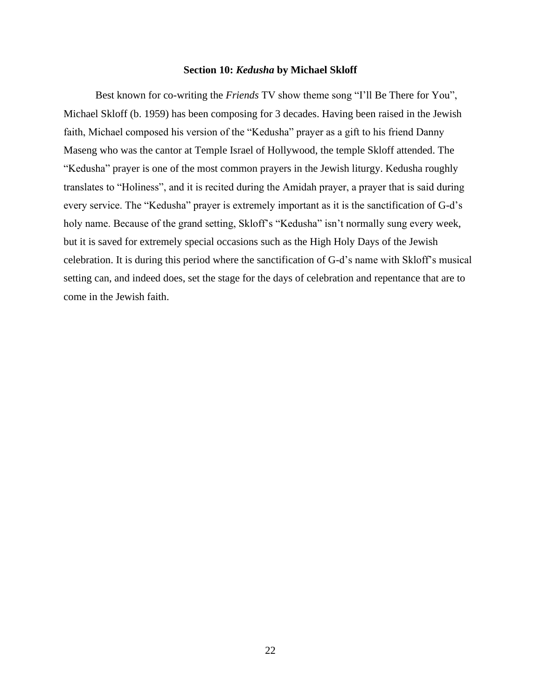# **Section 10:** *Kedusha* **by Michael Skloff**

Best known for co-writing the *Friends* TV show theme song "I'll Be There for You", Michael Skloff (b. 1959) has been composing for 3 decades. Having been raised in the Jewish faith, Michael composed his version of the "Kedusha" prayer as a gift to his friend Danny Maseng who was the cantor at Temple Israel of Hollywood, the temple Skloff attended. The "Kedusha" prayer is one of the most common prayers in the Jewish liturgy. Kedusha roughly translates to "Holiness", and it is recited during the Amidah prayer, a prayer that is said during every service. The "Kedusha" prayer is extremely important as it is the sanctification of G-d's holy name. Because of the grand setting, Skloff's "Kedusha" isn't normally sung every week, but it is saved for extremely special occasions such as the High Holy Days of the Jewish celebration. It is during this period where the sanctification of G-d's name with Skloff's musical setting can, and indeed does, set the stage for the days of celebration and repentance that are to come in the Jewish faith.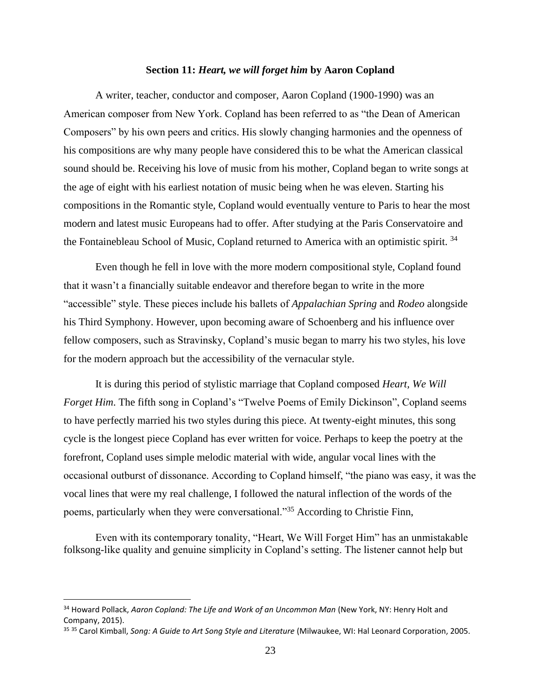# **Section 11:** *Heart, we will forget him* **by Aaron Copland**

A writer, teacher, conductor and composer, Aaron Copland (1900-1990) was an American composer from New York. Copland has been referred to as "the Dean of American Composers" by his own peers and critics. His slowly changing harmonies and the openness of his compositions are why many people have considered this to be what the American classical sound should be. Receiving his love of music from his mother, Copland began to write songs at the age of eight with his earliest notation of music being when he was eleven. Starting his compositions in the Romantic style, Copland would eventually venture to Paris to hear the most modern and latest music Europeans had to offer. After studying at the Paris Conservatoire and the Fontainebleau School of Music, Copland returned to America with an optimistic spirit.<sup>34</sup>

Even though he fell in love with the more modern compositional style, Copland found that it wasn't a financially suitable endeavor and therefore began to write in the more "accessible" style. These pieces include his ballets of *Appalachian Spring* and *Rodeo* alongside his Third Symphony. However, upon becoming aware of Schoenberg and his influence over fellow composers, such as Stravinsky, Copland's music began to marry his two styles, his love for the modern approach but the accessibility of the vernacular style.

It is during this period of stylistic marriage that Copland composed *Heart, We Will Forget Him*. The fifth song in Copland's "Twelve Poems of Emily Dickinson", Copland seems to have perfectly married his two styles during this piece. At twenty-eight minutes, this song cycle is the longest piece Copland has ever written for voice. Perhaps to keep the poetry at the forefront, Copland uses simple melodic material with wide, angular vocal lines with the occasional outburst of dissonance. According to Copland himself, "the piano was easy, it was the vocal lines that were my real challenge, I followed the natural inflection of the words of the poems, particularly when they were conversational."<sup>35</sup> According to Christie Finn,

Even with its contemporary tonality, "Heart, We Will Forget Him" has an unmistakable folksong-like quality and genuine simplicity in Copland's setting. The listener cannot help but

<sup>34</sup> Howard Pollack, *Aaron Copland: The Life and Work of an Uncommon Man* (New York, NY: Henry Holt and Company, 2015).

<sup>35</sup> <sup>35</sup> Carol Kimball, *Song: A Guide to Art Song Style and Literature* (Milwaukee, WI: Hal Leonard Corporation, 2005.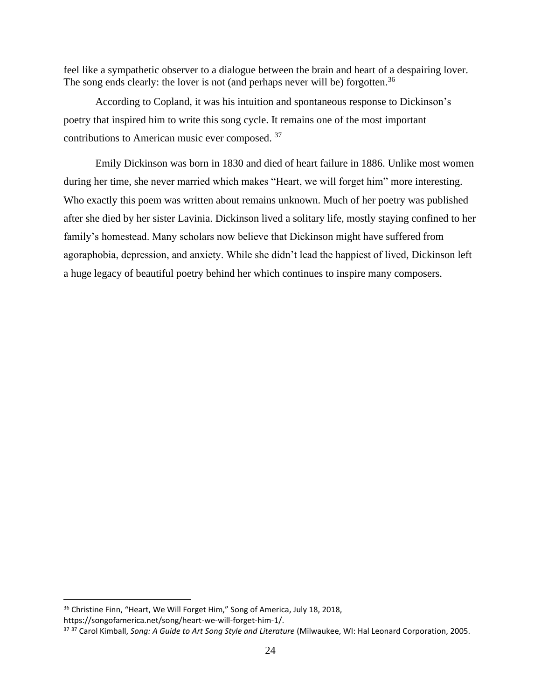feel like a sympathetic observer to a dialogue between the brain and heart of a despairing lover. The song ends clearly: the lover is not (and perhaps never will be) forgotten.<sup>36</sup>

According to Copland, it was his intuition and spontaneous response to Dickinson's poetry that inspired him to write this song cycle. It remains one of the most important contributions to American music ever composed. <sup>37</sup>

Emily Dickinson was born in 1830 and died of heart failure in 1886. Unlike most women during her time, she never married which makes "Heart, we will forget him" more interesting. Who exactly this poem was written about remains unknown. Much of her poetry was published after she died by her sister Lavinia. Dickinson lived a solitary life, mostly staying confined to her family's homestead. Many scholars now believe that Dickinson might have suffered from agoraphobia, depression, and anxiety. While she didn't lead the happiest of lived, Dickinson left a huge legacy of beautiful poetry behind her which continues to inspire many composers.

<sup>&</sup>lt;sup>36</sup> Christine Finn, "Heart, We Will Forget Him," Song of America, July 18, 2018, https://songofamerica.net/song/heart-we-will-forget-him-1/.

<sup>37</sup> <sup>37</sup> Carol Kimball, *Song: A Guide to Art Song Style and Literature* (Milwaukee, WI: Hal Leonard Corporation, 2005.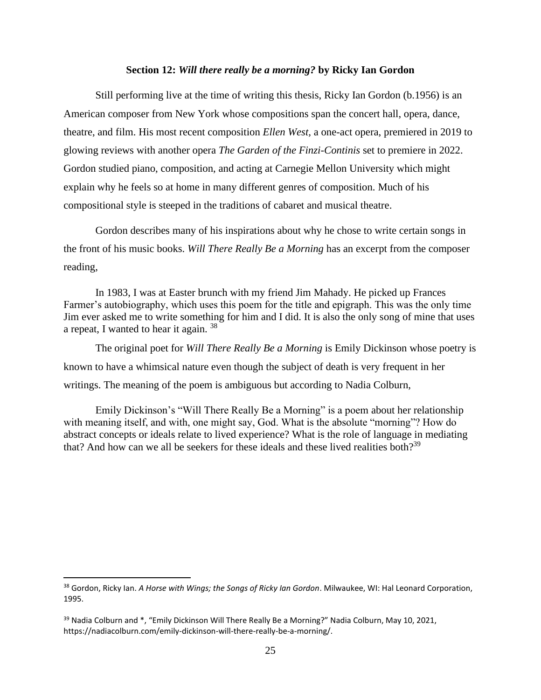# **Section 12:** *Will there really be a morning?* **by Ricky Ian Gordon**

Still performing live at the time of writing this thesis, Ricky Ian Gordon (b.1956) is an American composer from New York whose compositions span the concert hall, opera, dance, theatre, and film. His most recent composition *Ellen West,* a one-act opera, premiered in 2019 to glowing reviews with another opera *The Garden of the Finzi-Continis* set to premiere in 2022. Gordon studied piano, composition, and acting at Carnegie Mellon University which might explain why he feels so at home in many different genres of composition. Much of his compositional style is steeped in the traditions of cabaret and musical theatre.

Gordon describes many of his inspirations about why he chose to write certain songs in the front of his music books. *Will There Really Be a Morning* has an excerpt from the composer reading,

In 1983, I was at Easter brunch with my friend Jim Mahady. He picked up Frances Farmer's autobiography, which uses this poem for the title and epigraph. This was the only time Jim ever asked me to write something for him and I did. It is also the only song of mine that uses a repeat, I wanted to hear it again. <sup>38</sup>

The original poet for *Will There Really Be a Morning* is Emily Dickinson whose poetry is known to have a whimsical nature even though the subject of death is very frequent in her writings. The meaning of the poem is ambiguous but according to Nadia Colburn,

Emily Dickinson's "Will There Really Be a Morning" is a poem about her relationship with meaning itself, and with, one might say, God. What is the absolute "morning"? How do abstract concepts or ideals relate to lived experience? What is the role of language in mediating that? And how can we all be seekers for these ideals and these lived realities both?<sup>39</sup>

<sup>38</sup> Gordon, Ricky Ian. *A Horse with Wings; the Songs of Ricky Ian Gordon*. Milwaukee, WI: Hal Leonard Corporation, 1995.

<sup>&</sup>lt;sup>39</sup> Nadia Colburn and \*, "Emily Dickinson Will There Really Be a Morning?" Nadia Colburn, May 10, 2021, https://nadiacolburn.com/emily-dickinson-will-there-really-be-a-morning/.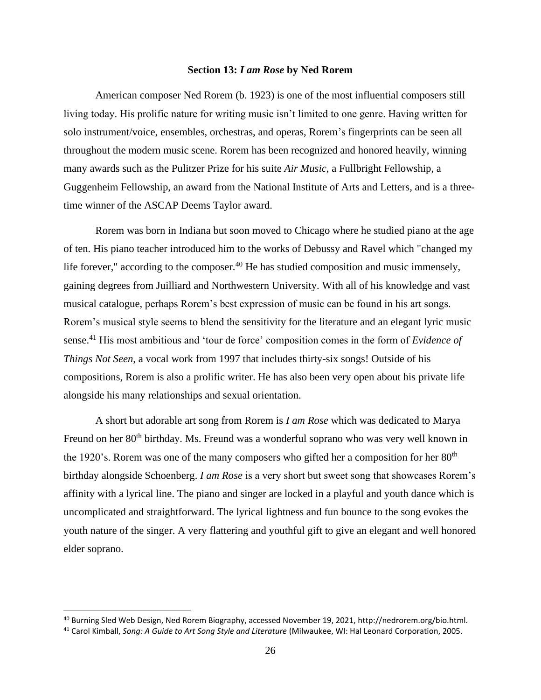#### **Section 13:** *I am Rose* **by Ned Rorem**

American composer Ned Rorem (b. 1923) is one of the most influential composers still living today. His prolific nature for writing music isn't limited to one genre. Having written for solo instrument/voice, ensembles, orchestras, and operas, Rorem's fingerprints can be seen all throughout the modern music scene. Rorem has been recognized and honored heavily, winning many awards such as the Pulitzer Prize for his suite *Air Music*, a Fullbright Fellowship, a Guggenheim Fellowship, an award from the National Institute of Arts and Letters, and is a threetime winner of the ASCAP Deems Taylor award.

Rorem was born in Indiana but soon moved to Chicago where he studied piano at the age of ten. His piano teacher introduced him to the works of Debussy and Ravel which "changed my life forever," according to the composer. $40$  He has studied composition and music immensely, gaining degrees from Juilliard and Northwestern University. With all of his knowledge and vast musical catalogue, perhaps Rorem's best expression of music can be found in his art songs. Rorem's musical style seems to blend the sensitivity for the literature and an elegant lyric music sense.<sup>41</sup> His most ambitious and 'tour de force' composition comes in the form of *Evidence of Things Not Seen*, a vocal work from 1997 that includes thirty-six songs! Outside of his compositions, Rorem is also a prolific writer. He has also been very open about his private life alongside his many relationships and sexual orientation.

A short but adorable art song from Rorem is *I am Rose* which was dedicated to Marya Freund on her 80<sup>th</sup> birthday. Ms. Freund was a wonderful soprano who was very well known in the 1920's. Rorem was one of the many composers who gifted her a composition for her  $80<sup>th</sup>$ birthday alongside Schoenberg. *I am Rose* is a very short but sweet song that showcases Rorem's affinity with a lyrical line. The piano and singer are locked in a playful and youth dance which is uncomplicated and straightforward. The lyrical lightness and fun bounce to the song evokes the youth nature of the singer. A very flattering and youthful gift to give an elegant and well honored elder soprano.

<sup>40</sup> Burning Sled Web Design, Ned Rorem Biography, accessed November 19, 2021, http://nedrorem.org/bio.html.

<sup>41</sup> Carol Kimball, *Song: A Guide to Art Song Style and Literature* (Milwaukee, WI: Hal Leonard Corporation, 2005.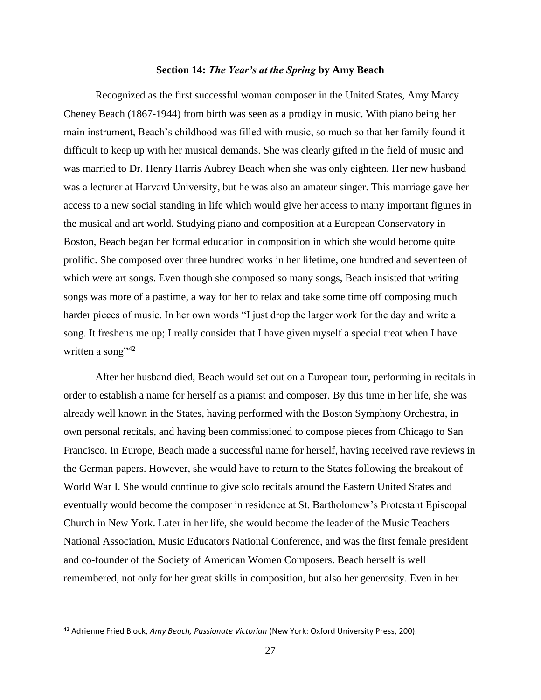#### **Section 14:** *The Year's at the Spring* **by Amy Beach**

Recognized as the first successful woman composer in the United States, Amy Marcy Cheney Beach (1867-1944) from birth was seen as a prodigy in music. With piano being her main instrument, Beach's childhood was filled with music, so much so that her family found it difficult to keep up with her musical demands. She was clearly gifted in the field of music and was married to Dr. Henry Harris Aubrey Beach when she was only eighteen. Her new husband was a lecturer at Harvard University, but he was also an amateur singer. This marriage gave her access to a new social standing in life which would give her access to many important figures in the musical and art world. Studying piano and composition at a European Conservatory in Boston, Beach began her formal education in composition in which she would become quite prolific. She composed over three hundred works in her lifetime, one hundred and seventeen of which were art songs. Even though she composed so many songs, Beach insisted that writing songs was more of a pastime, a way for her to relax and take some time off composing much harder pieces of music. In her own words "I just drop the larger work for the day and write a song. It freshens me up; I really consider that I have given myself a special treat when I have written a song" $42$ 

After her husband died, Beach would set out on a European tour, performing in recitals in order to establish a name for herself as a pianist and composer. By this time in her life, she was already well known in the States, having performed with the Boston Symphony Orchestra, in own personal recitals, and having been commissioned to compose pieces from Chicago to San Francisco. In Europe, Beach made a successful name for herself, having received rave reviews in the German papers. However, she would have to return to the States following the breakout of World War I. She would continue to give solo recitals around the Eastern United States and eventually would become the composer in residence at St. Bartholomew's Protestant Episcopal Church in New York. Later in her life, she would become the leader of the Music Teachers National Association, Music Educators National Conference, and was the first female president and co-founder of the Society of American Women Composers. Beach herself is well remembered, not only for her great skills in composition, but also her generosity. Even in her

<sup>42</sup> Adrienne Fried Block, *Amy Beach, Passionate Victorian* (New York: Oxford University Press, 200).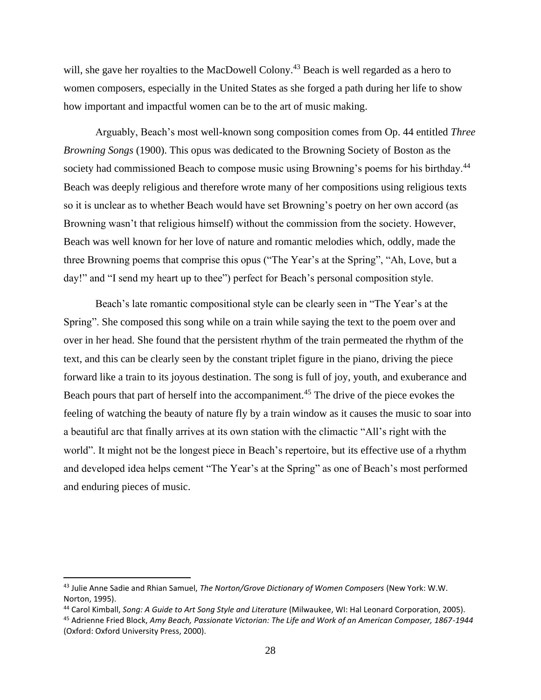will, she gave her royalties to the MacDowell Colony.<sup>43</sup> Beach is well regarded as a hero to women composers, especially in the United States as she forged a path during her life to show how important and impactful women can be to the art of music making.

Arguably, Beach's most well-known song composition comes from Op. 44 entitled *Three Browning Songs* (1900). This opus was dedicated to the Browning Society of Boston as the society had commissioned Beach to compose music using Browning's poems for his birthday.<sup>44</sup> Beach was deeply religious and therefore wrote many of her compositions using religious texts so it is unclear as to whether Beach would have set Browning's poetry on her own accord (as Browning wasn't that religious himself) without the commission from the society. However, Beach was well known for her love of nature and romantic melodies which, oddly, made the three Browning poems that comprise this opus ("The Year's at the Spring", "Ah, Love, but a day!" and "I send my heart up to thee") perfect for Beach's personal composition style.

Beach's late romantic compositional style can be clearly seen in "The Year's at the Spring". She composed this song while on a train while saying the text to the poem over and over in her head. She found that the persistent rhythm of the train permeated the rhythm of the text, and this can be clearly seen by the constant triplet figure in the piano, driving the piece forward like a train to its joyous destination. The song is full of joy, youth, and exuberance and Beach pours that part of herself into the accompaniment.<sup>45</sup> The drive of the piece evokes the feeling of watching the beauty of nature fly by a train window as it causes the music to soar into a beautiful arc that finally arrives at its own station with the climactic "All's right with the world". It might not be the longest piece in Beach's repertoire, but its effective use of a rhythm and developed idea helps cement "The Year's at the Spring" as one of Beach's most performed and enduring pieces of music.

<sup>43</sup> Julie Anne Sadie and Rhian Samuel, *The Norton/Grove Dictionary of Women Composers* (New York: W.W. Norton, 1995).

<sup>44</sup> Carol Kimball, *Song: A Guide to Art Song Style and Literature* (Milwaukee, WI: Hal Leonard Corporation, 2005). <sup>45</sup> Adrienne Fried Block, *Amy Beach, Passionate Victorian: The Life and Work of an American Composer, 1867-1944* (Oxford: Oxford University Press, 2000).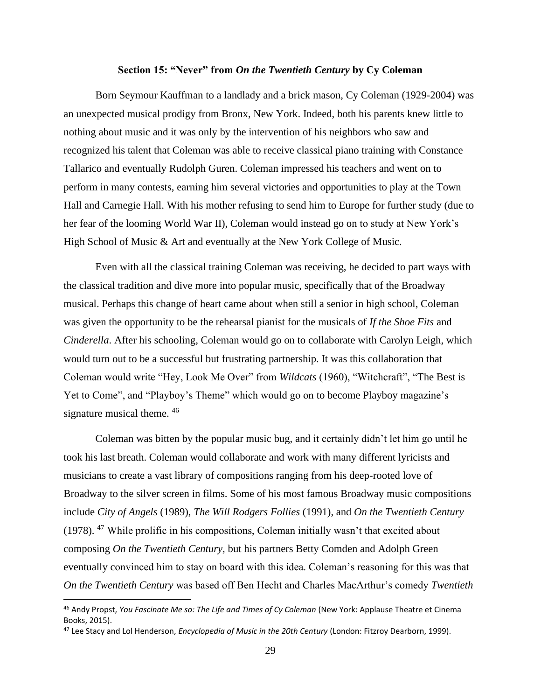# **Section 15: "Never" from** *On the Twentieth Century* **by Cy Coleman**

Born Seymour Kauffman to a landlady and a brick mason, Cy Coleman (1929-2004) was an unexpected musical prodigy from Bronx, New York. Indeed, both his parents knew little to nothing about music and it was only by the intervention of his neighbors who saw and recognized his talent that Coleman was able to receive classical piano training with Constance Tallarico and eventually Rudolph Guren. Coleman impressed his teachers and went on to perform in many contests, earning him several victories and opportunities to play at the Town Hall and Carnegie Hall. With his mother refusing to send him to Europe for further study (due to her fear of the looming World War II), Coleman would instead go on to study at New York's High School of Music & Art and eventually at the New York College of Music.

Even with all the classical training Coleman was receiving, he decided to part ways with the classical tradition and dive more into popular music, specifically that of the Broadway musical. Perhaps this change of heart came about when still a senior in high school, Coleman was given the opportunity to be the rehearsal pianist for the musicals of *If the Shoe Fits* and *Cinderella*. After his schooling, Coleman would go on to collaborate with Carolyn Leigh, which would turn out to be a successful but frustrating partnership. It was this collaboration that Coleman would write "Hey, Look Me Over" from *Wildcats* (1960), "Witchcraft", "The Best is Yet to Come", and "Playboy's Theme" which would go on to become Playboy magazine's signature musical theme. <sup>46</sup>

Coleman was bitten by the popular music bug, and it certainly didn't let him go until he took his last breath. Coleman would collaborate and work with many different lyricists and musicians to create a vast library of compositions ranging from his deep-rooted love of Broadway to the silver screen in films. Some of his most famous Broadway music compositions include *City of Angels* (1989), *The Will Rodgers Follies* (1991), and *On the Twentieth Century*  (1978). <sup>47</sup> While prolific in his compositions, Coleman initially wasn't that excited about composing *On the Twentieth Century,* but his partners Betty Comden and Adolph Green eventually convinced him to stay on board with this idea. Coleman's reasoning for this was that *On the Twentieth Century* was based off Ben Hecht and Charles MacArthur's comedy *Twentieth* 

<sup>46</sup> Andy Propst, *You Fascinate Me so: The Life and Times of Cy Coleman* (New York: Applause Theatre et Cinema Books, 2015).

<sup>47</sup> Lee Stacy and Lol Henderson, *Encyclopedia of Music in the 20th Century* (London: Fitzroy Dearborn, 1999).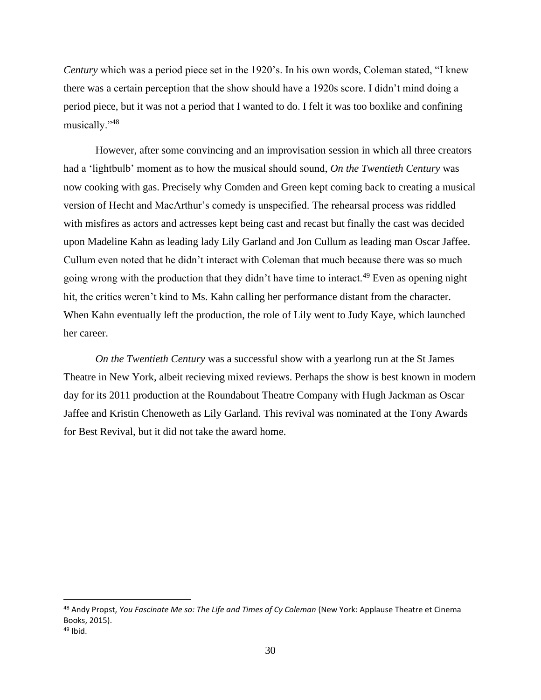*Century* which was a period piece set in the 1920's. In his own words, Coleman stated, "I knew there was a certain perception that the show should have a 1920s score. I didn't mind doing a period piece, but it was not a period that I wanted to do. I felt it was too boxlike and confining musically."<sup>48</sup>

However, after some convincing and an improvisation session in which all three creators had a 'lightbulb' moment as to how the musical should sound, *On the Twentieth Century* was now cooking with gas. Precisely why Comden and Green kept coming back to creating a musical version of Hecht and MacArthur's comedy is unspecified. The rehearsal process was riddled with misfires as actors and actresses kept being cast and recast but finally the cast was decided upon Madeline Kahn as leading lady Lily Garland and Jon Cullum as leading man Oscar Jaffee. Cullum even noted that he didn't interact with Coleman that much because there was so much going wrong with the production that they didn't have time to interact.<sup>49</sup> Even as opening night hit, the critics weren't kind to Ms. Kahn calling her performance distant from the character. When Kahn eventually left the production, the role of Lily went to Judy Kaye, which launched her career.

*On the Twentieth Century* was a successful show with a yearlong run at the St James Theatre in New York, albeit recieving mixed reviews. Perhaps the show is best known in modern day for its 2011 production at the Roundabout Theatre Company with Hugh Jackman as Oscar Jaffee and Kristin Chenoweth as Lily Garland. This revival was nominated at the Tony Awards for Best Revival, but it did not take the award home.

<sup>48</sup> Andy Propst, *You Fascinate Me so: The Life and Times of Cy Coleman* (New York: Applause Theatre et Cinema Books, 2015).

 $49$  Ibid.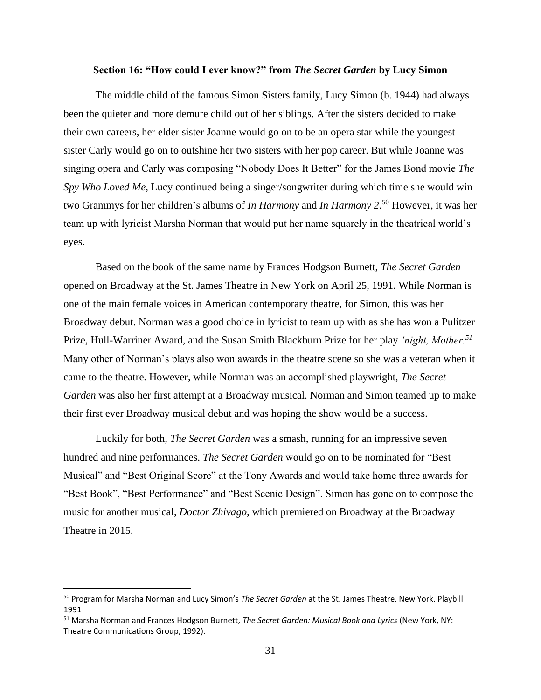# **Section 16: "How could I ever know?" from** *The Secret Garden* **by Lucy Simon**

The middle child of the famous Simon Sisters family, Lucy Simon (b. 1944) had always been the quieter and more demure child out of her siblings. After the sisters decided to make their own careers, her elder sister Joanne would go on to be an opera star while the youngest sister Carly would go on to outshine her two sisters with her pop career. But while Joanne was singing opera and Carly was composing "Nobody Does It Better" for the James Bond movie *The Spy Who Loved Me*, Lucy continued being a singer/songwriter during which time she would win two Grammys for her children's albums of *In Harmony* and *In Harmony 2*. <sup>50</sup> However, it was her team up with lyricist Marsha Norman that would put her name squarely in the theatrical world's eyes.

Based on the book of the same name by Frances Hodgson Burnett, *The Secret Garden* opened on Broadway at the St. James Theatre in New York on April 25, 1991. While Norman is one of the main female voices in American contemporary theatre, for Simon, this was her Broadway debut. Norman was a good choice in lyricist to team up with as she has won a Pulitzer Prize, Hull-Warriner Award, and the Susan Smith Blackburn Prize for her play *'night, Mother.<sup>51</sup>* Many other of Norman's plays also won awards in the theatre scene so she was a veteran when it came to the theatre. However, while Norman was an accomplished playwright, *The Secret Garden* was also her first attempt at a Broadway musical. Norman and Simon teamed up to make their first ever Broadway musical debut and was hoping the show would be a success.

Luckily for both, *The Secret Garden* was a smash, running for an impressive seven hundred and nine performances. *The Secret Garden* would go on to be nominated for "Best Musical" and "Best Original Score" at the Tony Awards and would take home three awards for "Best Book", "Best Performance" and "Best Scenic Design". Simon has gone on to compose the music for another musical, *Doctor Zhivago,* which premiered on Broadway at the Broadway Theatre in 2015.

<sup>50</sup> Program for Marsha Norman and Lucy Simon's *The Secret Garden* at the St. James Theatre, New York. Playbill 1991

<sup>51</sup> Marsha Norman and Frances Hodgson Burnett, *The Secret Garden: Musical Book and Lyrics* (New York, NY: Theatre Communications Group, 1992).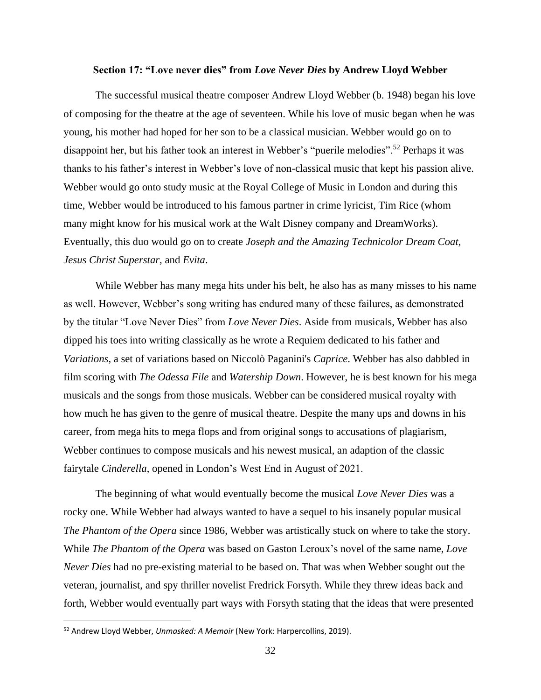#### **Section 17: "Love never dies" from** *Love Never Dies* **by Andrew Lloyd Webber**

The successful musical theatre composer Andrew Lloyd Webber (b. 1948) began his love of composing for the theatre at the age of seventeen. While his love of music began when he was young, his mother had hoped for her son to be a classical musician. Webber would go on to disappoint her, but his father took an interest in Webber's "puerile melodies".<sup>52</sup> Perhaps it was thanks to his father's interest in Webber's love of non-classical music that kept his passion alive. Webber would go onto study music at the Royal College of Music in London and during this time, Webber would be introduced to his famous partner in crime lyricist, Tim Rice (whom many might know for his musical work at the Walt Disney company and DreamWorks). Eventually, this duo would go on to create *Joseph and the Amazing Technicolor Dream Coat, Jesus Christ Superstar,* and *Evita*.

While Webber has many mega hits under his belt, he also has as many misses to his name as well. However, Webber's song writing has endured many of these failures, as demonstrated by the titular "Love Never Dies" from *Love Never Dies*. Aside from musicals, Webber has also dipped his toes into writing classically as he wrote a Requiem dedicated to his father and *Variations*, a set of variations based on Niccolò Paganini's *Caprice*. Webber has also dabbled in film scoring with *The Odessa File* and *Watership Down*. However, he is best known for his mega musicals and the songs from those musicals. Webber can be considered musical royalty with how much he has given to the genre of musical theatre. Despite the many ups and downs in his career, from mega hits to mega flops and from original songs to accusations of plagiarism, Webber continues to compose musicals and his newest musical, an adaption of the classic fairytale *Cinderella*, opened in London's West End in August of 2021.

The beginning of what would eventually become the musical *Love Never Dies* was a rocky one. While Webber had always wanted to have a sequel to his insanely popular musical *The Phantom of the Opera* since 1986, Webber was artistically stuck on where to take the story. While *The Phantom of the Opera* was based on Gaston Leroux's novel of the same name, *Love Never Dies* had no pre-existing material to be based on. That was when Webber sought out the veteran, journalist, and spy thriller novelist Fredrick Forsyth. While they threw ideas back and forth, Webber would eventually part ways with Forsyth stating that the ideas that were presented

<sup>52</sup> Andrew Lloyd Webber, *Unmasked: A Memoir* (New York: Harpercollins, 2019).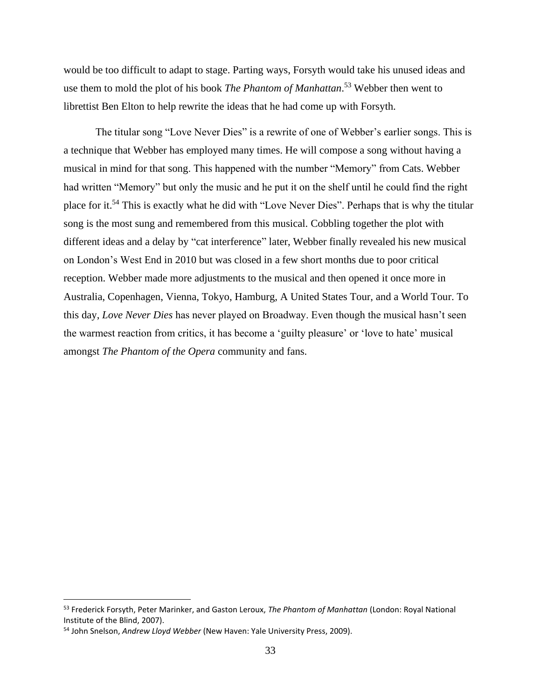would be too difficult to adapt to stage. Parting ways, Forsyth would take his unused ideas and use them to mold the plot of his book *The Phantom of Manhattan*. <sup>53</sup> Webber then went to librettist Ben Elton to help rewrite the ideas that he had come up with Forsyth.

The titular song "Love Never Dies" is a rewrite of one of Webber's earlier songs. This is a technique that Webber has employed many times. He will compose a song without having a musical in mind for that song. This happened with the number "Memory" from Cats. Webber had written "Memory" but only the music and he put it on the shelf until he could find the right place for it.<sup>54</sup> This is exactly what he did with "Love Never Dies". Perhaps that is why the titular song is the most sung and remembered from this musical. Cobbling together the plot with different ideas and a delay by "cat interference" later, Webber finally revealed his new musical on London's West End in 2010 but was closed in a few short months due to poor critical reception. Webber made more adjustments to the musical and then opened it once more in Australia, Copenhagen, Vienna, Tokyo, Hamburg, A United States Tour, and a World Tour. To this day, *Love Never Dies* has never played on Broadway. Even though the musical hasn't seen the warmest reaction from critics, it has become a 'guilty pleasure' or 'love to hate' musical amongst *The Phantom of the Opera* community and fans.

<sup>53</sup> Frederick Forsyth, Peter Marinker, and Gaston Leroux, *The Phantom of Manhattan* (London: Royal National Institute of the Blind, 2007).

<sup>54</sup> John Snelson, *Andrew Lloyd Webber* (New Haven: Yale University Press, 2009).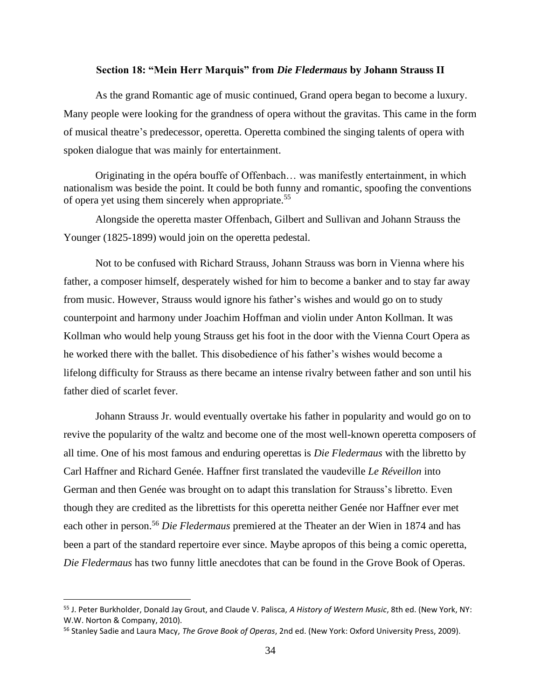## **Section 18: "Mein Herr Marquis" from** *Die Fledermaus* **by Johann Strauss II**

As the grand Romantic age of music continued, Grand opera began to become a luxury. Many people were looking for the grandness of opera without the gravitas. This came in the form of musical theatre's predecessor, operetta. Operetta combined the singing talents of opera with spoken dialogue that was mainly for entertainment.

Originating in the opéra bouffe of Offenbach… was manifestly entertainment, in which nationalism was beside the point. It could be both funny and romantic, spoofing the conventions of opera yet using them sincerely when appropriate.<sup>55</sup>

Alongside the operetta master Offenbach, Gilbert and Sullivan and Johann Strauss the Younger (1825-1899) would join on the operetta pedestal.

Not to be confused with Richard Strauss, Johann Strauss was born in Vienna where his father, a composer himself, desperately wished for him to become a banker and to stay far away from music. However, Strauss would ignore his father's wishes and would go on to study counterpoint and harmony under Joachim Hoffman and violin under Anton Kollman. It was Kollman who would help young Strauss get his foot in the door with the Vienna Court Opera as he worked there with the ballet. This disobedience of his father's wishes would become a lifelong difficulty for Strauss as there became an intense rivalry between father and son until his father died of scarlet fever.

Johann Strauss Jr. would eventually overtake his father in popularity and would go on to revive the popularity of the waltz and become one of the most well-known operetta composers of all time. One of his most famous and enduring operettas is *Die Fledermaus* with the libretto by Carl Haffner and Richard Genée. Haffner first translated the vaudeville *Le Réveillon* into German and then Genée was brought on to adapt this translation for Strauss's libretto. Even though they are credited as the librettists for this operetta neither Genée nor Haffner ever met each other in person.<sup>56</sup> *Die Fledermaus* premiered at the Theater an der Wien in 1874 and has been a part of the standard repertoire ever since. Maybe apropos of this being a comic operetta, *Die Fledermaus* has two funny little anecdotes that can be found in the Grove Book of Operas.

<sup>55</sup> J. Peter Burkholder, Donald Jay Grout, and Claude V. Palisca, *A History of Western Music*, 8th ed. (New York, NY: W.W. Norton & Company, 2010).

<sup>56</sup> Stanley Sadie and Laura Macy, *The Grove Book of Operas*, 2nd ed. (New York: Oxford University Press, 2009).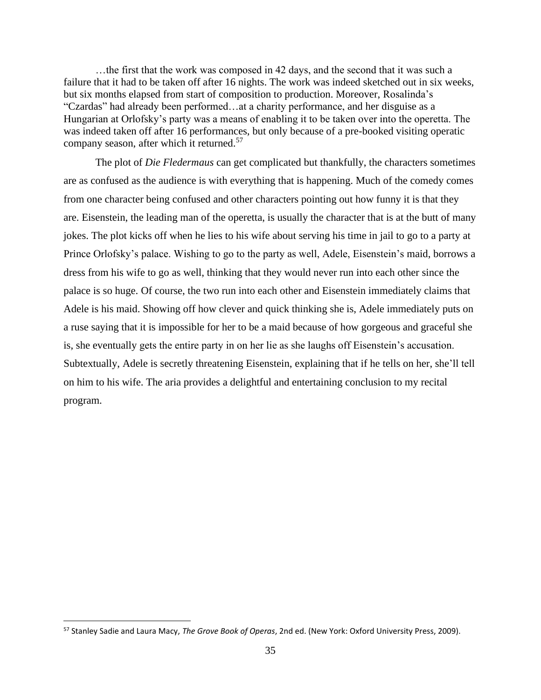…the first that the work was composed in 42 days, and the second that it was such a failure that it had to be taken off after 16 nights. The work was indeed sketched out in six weeks, but six months elapsed from start of composition to production. Moreover, Rosalinda's "Czardas" had already been performed…at a charity performance, and her disguise as a Hungarian at Orlofsky's party was a means of enabling it to be taken over into the operetta. The was indeed taken off after 16 performances, but only because of a pre-booked visiting operatic company season, after which it returned.<sup>57</sup>

The plot of *Die Fledermaus* can get complicated but thankfully, the characters sometimes are as confused as the audience is with everything that is happening. Much of the comedy comes from one character being confused and other characters pointing out how funny it is that they are. Eisenstein, the leading man of the operetta, is usually the character that is at the butt of many jokes. The plot kicks off when he lies to his wife about serving his time in jail to go to a party at Prince Orlofsky's palace. Wishing to go to the party as well, Adele, Eisenstein's maid, borrows a dress from his wife to go as well, thinking that they would never run into each other since the palace is so huge. Of course, the two run into each other and Eisenstein immediately claims that Adele is his maid. Showing off how clever and quick thinking she is, Adele immediately puts on a ruse saying that it is impossible for her to be a maid because of how gorgeous and graceful she is, she eventually gets the entire party in on her lie as she laughs off Eisenstein's accusation. Subtextually, Adele is secretly threatening Eisenstein, explaining that if he tells on her, she'll tell on him to his wife. The aria provides a delightful and entertaining conclusion to my recital program.

<sup>57</sup> Stanley Sadie and Laura Macy, *The Grove Book of Operas*, 2nd ed. (New York: Oxford University Press, 2009).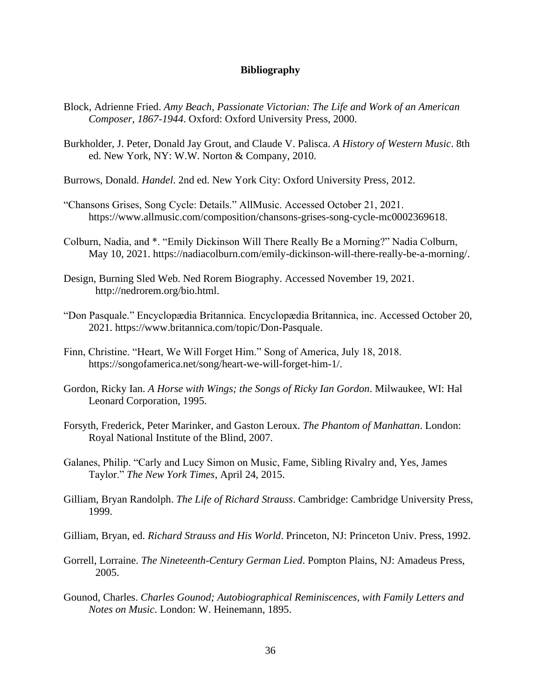# **Bibliography**

- Block, Adrienne Fried. *Amy Beach, Passionate Victorian: The Life and Work of an American Composer, 1867-1944*. Oxford: Oxford University Press, 2000.
- Burkholder, J. Peter, Donald Jay Grout, and Claude V. Palisca. *A History of Western Music*. 8th ed. New York, NY: W.W. Norton & Company, 2010.
- Burrows, Donald. *Handel*. 2nd ed. New York City: Oxford University Press, 2012.
- "Chansons Grises, Song Cycle: Details." AllMusic. Accessed October 21, 2021. https://www.allmusic.com/composition/chansons-grises-song-cycle-mc0002369618.
- Colburn, Nadia, and \*. "Emily Dickinson Will There Really Be a Morning?" Nadia Colburn, May 10, 2021. https://nadiacolburn.com/emily-dickinson-will-there-really-be-a-morning/.
- Design, Burning Sled Web. Ned Rorem Biography. Accessed November 19, 2021. http://nedrorem.org/bio.html.
- "Don Pasquale." Encyclopædia Britannica. Encyclopædia Britannica, inc. Accessed October 20, 2021. https://www.britannica.com/topic/Don-Pasquale.
- Finn, Christine. "Heart, We Will Forget Him." Song of America, July 18, 2018. https://songofamerica.net/song/heart-we-will-forget-him-1/.
- Gordon, Ricky Ian. *A Horse with Wings; the Songs of Ricky Ian Gordon*. Milwaukee, WI: Hal Leonard Corporation, 1995.
- Forsyth, Frederick, Peter Marinker, and Gaston Leroux. *The Phantom of Manhattan*. London: Royal National Institute of the Blind, 2007.
- Galanes, Philip. "Carly and Lucy Simon on Music, Fame, Sibling Rivalry and, Yes, James Taylor." *The New York Times*, April 24, 2015.
- Gilliam, Bryan Randolph. *The Life of Richard Strauss*. Cambridge: Cambridge University Press, 1999.
- Gilliam, Bryan, ed. *Richard Strauss and His World*. Princeton, NJ: Princeton Univ. Press, 1992.
- Gorrell, Lorraine. *The Nineteenth-Century German Lied*. Pompton Plains, NJ: Amadeus Press, 2005.
- Gounod, Charles. *Charles Gounod; Autobiographical Reminiscences, with Family Letters and Notes on Music*. London: W. Heinemann, 1895.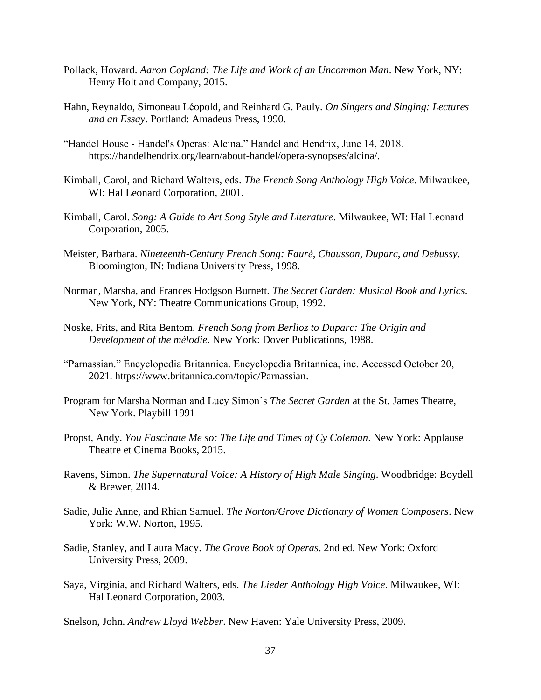- Pollack, Howard. *Aaron Copland: The Life and Work of an Uncommon Man*. New York, NY: Henry Holt and Company, 2015.
- Hahn, Reynaldo, Simoneau Léopold, and Reinhard G. Pauly. *On Singers and Singing: Lectures and an Essay*. Portland: Amadeus Press, 1990.
- "Handel House Handel's Operas: Alcina." Handel and Hendrix, June 14, 2018. https://handelhendrix.org/learn/about-handel/opera-synopses/alcina/.
- Kimball, Carol, and Richard Walters, eds. *The French Song Anthology High Voice*. Milwaukee, WI: Hal Leonard Corporation, 2001.
- Kimball, Carol. *Song: A Guide to Art Song Style and Literature*. Milwaukee, WI: Hal Leonard Corporation, 2005.
- Meister, Barbara. *Nineteenth-Century French Song: Fauré, Chausson, Duparc, and Debussy*. Bloomington, IN: Indiana University Press, 1998.
- Norman, Marsha, and Frances Hodgson Burnett. *The Secret Garden: Musical Book and Lyrics*. New York, NY: Theatre Communications Group, 1992.
- Noske, Frits, and Rita Bentom. *French Song from Berlioz to Duparc: The Origin and Development of the mélodie*. New York: Dover Publications, 1988.
- "Parnassian." Encyclopedia Britannica. Encyclopedia Britannica, inc. Accessed October 20, 2021. https://www.britannica.com/topic/Parnassian.
- Program for Marsha Norman and Lucy Simon's *The Secret Garden* at the St. James Theatre, New York. Playbill 1991
- Propst, Andy. *You Fascinate Me so: The Life and Times of Cy Coleman*. New York: Applause Theatre et Cinema Books, 2015.
- Ravens, Simon. *The Supernatural Voice: A History of High Male Singing*. Woodbridge: Boydell & Brewer, 2014.
- Sadie, Julie Anne, and Rhian Samuel. *The Norton/Grove Dictionary of Women Composers*. New York: W.W. Norton, 1995.
- Sadie, Stanley, and Laura Macy. *The Grove Book of Operas*. 2nd ed. New York: Oxford University Press, 2009.
- Saya, Virginia, and Richard Walters, eds. *The Lieder Anthology High Voice*. Milwaukee, WI: Hal Leonard Corporation, 2003.
- Snelson, John. *Andrew Lloyd Webber*. New Haven: Yale University Press, 2009.